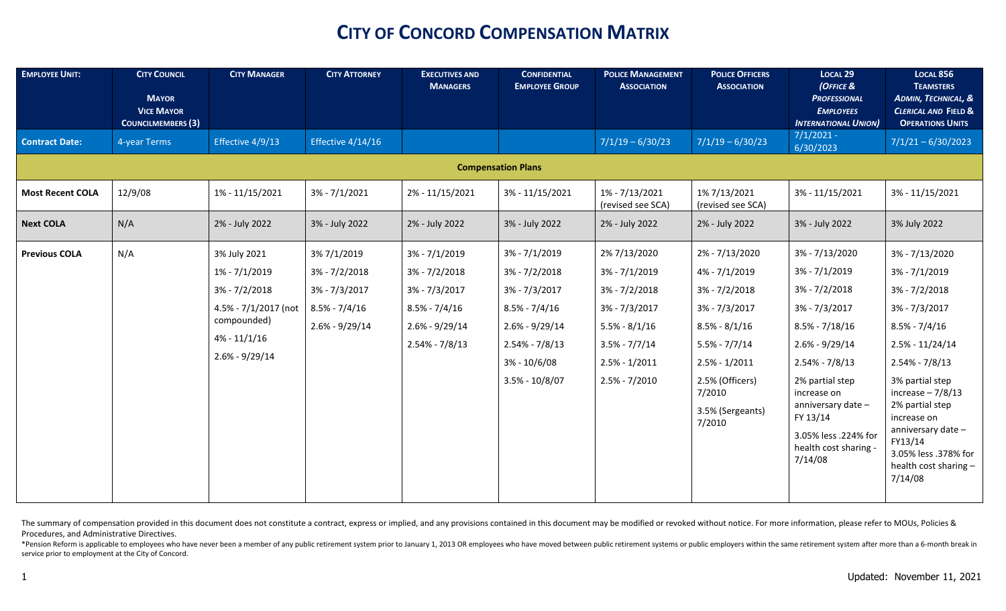| <b>EMPLOYEE UNIT:</b>   | <b>CITY COUNCIL</b><br><b>MAYOR</b><br><b>VICE MAYOR</b><br><b>COUNCILMEMBERS (3)</b> | <b>CITY MANAGER</b>                                                                                                              | <b>CITY ATTORNEY</b>                                                                      | <b>EXECUTIVES AND</b><br><b>MANAGERS</b>                                                                   | <b>CONFIDENTIAL</b><br><b>EMPLOYEE GROUP</b>                                                                                                       | <b>POLICE MANAGEMENT</b><br><b>ASSOCIATION</b>                                                                                                           | <b>POLICE OFFICERS</b><br><b>ASSOCIATION</b>                                                                                                                                                   | LOCAL <sub>29</sub><br>(OFFICE &<br><b>PROFESSIONAL</b><br><b>EMPLOYEES</b><br><b>INTERNATIONAL UNION)</b>                                                                                                                                                       | <b>LOCAL 856</b><br><b>TEAMSTERS</b><br>ADMIN, TECHNICAL, &<br><b>CLERICAL AND FIELD &amp;</b><br><b>OPERATIONS UNITS</b>                                                                                                                                                                                   |
|-------------------------|---------------------------------------------------------------------------------------|----------------------------------------------------------------------------------------------------------------------------------|-------------------------------------------------------------------------------------------|------------------------------------------------------------------------------------------------------------|----------------------------------------------------------------------------------------------------------------------------------------------------|----------------------------------------------------------------------------------------------------------------------------------------------------------|------------------------------------------------------------------------------------------------------------------------------------------------------------------------------------------------|------------------------------------------------------------------------------------------------------------------------------------------------------------------------------------------------------------------------------------------------------------------|-------------------------------------------------------------------------------------------------------------------------------------------------------------------------------------------------------------------------------------------------------------------------------------------------------------|
| <b>Contract Date:</b>   | 4-year Terms                                                                          | Effective 4/9/13                                                                                                                 | Effective 4/14/16                                                                         |                                                                                                            |                                                                                                                                                    | $7/1/19 - 6/30/23$                                                                                                                                       | $7/1/19 - 6/30/23$                                                                                                                                                                             | $7/1/2021 -$<br>6/30/2023                                                                                                                                                                                                                                        | $7/1/21 - 6/30/2023$                                                                                                                                                                                                                                                                                        |
|                         |                                                                                       |                                                                                                                                  |                                                                                           |                                                                                                            | <b>Compensation Plans</b>                                                                                                                          |                                                                                                                                                          |                                                                                                                                                                                                |                                                                                                                                                                                                                                                                  |                                                                                                                                                                                                                                                                                                             |
| <b>Most Recent COLA</b> | 12/9/08                                                                               | 1% - 11/15/2021                                                                                                                  | $3\% - 7/1/2021$                                                                          | 2% - 11/15/2021                                                                                            | 3% - 11/15/2021                                                                                                                                    | 1% - 7/13/2021<br>(revised see SCA)                                                                                                                      | 1% 7/13/2021<br>(revised see SCA)                                                                                                                                                              | 3% - 11/15/2021                                                                                                                                                                                                                                                  | 3% - 11/15/2021                                                                                                                                                                                                                                                                                             |
| <b>Next COLA</b>        | N/A                                                                                   | 2% - July 2022                                                                                                                   | 3% - July 2022                                                                            | 2% - July 2022                                                                                             | 3% - July 2022                                                                                                                                     | 2% - July 2022                                                                                                                                           | 2% - July 2022                                                                                                                                                                                 | 3% - July 2022                                                                                                                                                                                                                                                   | 3% July 2022                                                                                                                                                                                                                                                                                                |
| <b>Previous COLA</b>    | N/A                                                                                   | 3% July 2021<br>1% - 7/1/2019<br>$3\% - 7/2/2018$<br>4.5% - 7/1/2017 (not<br>compounded)<br>$4\% - 11/1/16$<br>$2.6\% - 9/29/14$ | 3% 7/1/2019<br>$3\% - 7/2/2018$<br>3% - 7/3/2017<br>$8.5\% - 7/4/16$<br>$2.6\% - 9/29/14$ | 3% - 7/1/2019<br>$3\% - 7/2/2018$<br>3% - 7/3/2017<br>$8.5\% - 7/4/16$<br>2.6% - 9/29/14<br>2.54% - 7/8/13 | 3% - 7/1/2019<br>$3\% - 7/2/2018$<br>3% - 7/3/2017<br>$8.5\% - 7/4/16$<br>2.6% - 9/29/14<br>2.54% - 7/8/13<br>$3\% - 10/6/08$<br>$3.5\% - 10/8/07$ | 2% 7/13/2020<br>$3\% - 7/1/2019$<br>$3\% - 7/2/2018$<br>$3\% - 7/3/2017$<br>$5.5\% - 8/1/16$<br>$3.5\% - 7/7/14$<br>$2.5\% - 1/2011$<br>$2.5\% - 7/2010$ | 2% - 7/13/2020<br>4% - 7/1/2019<br>$3\% - 7/2/2018$<br>$3\% - 7/3/2017$<br>$8.5\% - 8/1/16$<br>$5.5\% - 7/7/14$<br>$2.5\% - 1/2011$<br>2.5% (Officers)<br>7/2010<br>3.5% (Sergeants)<br>7/2010 | 3% - 7/13/2020<br>3% - 7/1/2019<br>$3\% - 7/2/2018$<br>$3\% - 7/3/2017$<br>$8.5\% - 7/18/16$<br>2.6% - 9/29/14<br>2.54% - 7/8/13<br>2% partial step<br>increase on<br>anniversary date -<br>FY 13/14<br>3.05% less .224% for<br>health cost sharing -<br>7/14/08 | 3% - 7/13/2020<br>3% - 7/1/2019<br>$3\% - 7/2/2018$<br>$3\% - 7/3/2017$<br>$8.5\% - 7/4/16$<br>$2.5\% - 11/24/14$<br>2.54% - 7/8/13<br>3% partial step<br>increase $-7/8/13$<br>2% partial step<br>increase on<br>anniversary date -<br>FY13/14<br>3.05% less .378% for<br>health cost sharing -<br>7/14/08 |

The summary of compensation provided in this document does not constitute a contract, express or implied, and any provisions contained in this document may be modified or revoked without notice. For more information, pleas Procedures, and Administrative Directives.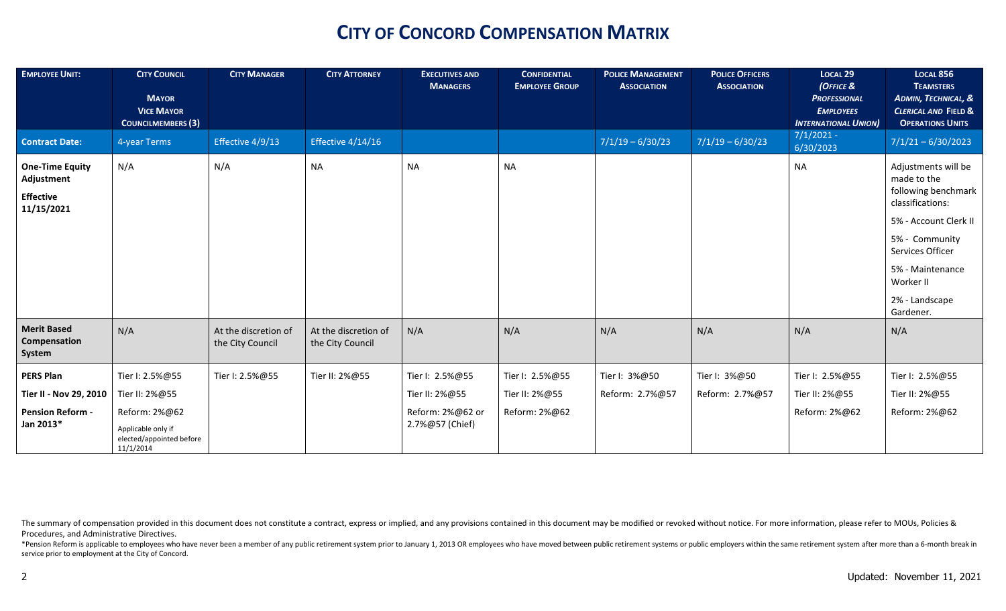| <b>EMPLOYEE UNIT:</b>                                                  | <b>CITY COUNCIL</b><br><b>MAYOR</b><br><b>VICE MAYOR</b><br><b>COUNCILMEMBERS (3)</b> | <b>CITY MANAGER</b>                      | <b>CITY ATTORNEY</b>                     | <b>EXECUTIVES AND</b><br><b>MANAGERS</b> | <b>CONFIDENTIAL</b><br><b>EMPLOYEE GROUP</b> | <b>POLICE MANAGEMENT</b><br><b>ASSOCIATION</b> | <b>POLICE OFFICERS</b><br><b>ASSOCIATION</b> | LOCAL <sub>29</sub><br>(OFFICE &<br><b>PROFESSIONAL</b><br><b>EMPLOYEES</b><br><b>INTERNATIONAL UNION)</b> | <b>LOCAL 856</b><br><b>TEAMSTERS</b><br>ADMIN, TECHNICAL, &<br><b>CLERICAL AND FIELD &amp;</b><br><b>OPERATIONS UNITS</b>                                                                                    |
|------------------------------------------------------------------------|---------------------------------------------------------------------------------------|------------------------------------------|------------------------------------------|------------------------------------------|----------------------------------------------|------------------------------------------------|----------------------------------------------|------------------------------------------------------------------------------------------------------------|--------------------------------------------------------------------------------------------------------------------------------------------------------------------------------------------------------------|
| <b>Contract Date:</b>                                                  | 4-year Terms                                                                          | Effective 4/9/13                         | Effective $4/14/16$                      |                                          |                                              | $7/1/19 - 6/30/23$                             | $7/1/19 - 6/30/23$                           | $7/1/2021 -$<br>6/30/2023                                                                                  | $7/1/21 - 6/30/2023$                                                                                                                                                                                         |
| <b>One-Time Equity</b><br>Adjustment<br><b>Effective</b><br>11/15/2021 | N/A                                                                                   | N/A                                      | <b>NA</b>                                | <b>NA</b>                                | <b>NA</b>                                    |                                                |                                              | <b>NA</b>                                                                                                  | Adjustments will be<br>made to the<br>following benchmark<br>classifications:<br>5% - Account Clerk II<br>5% - Community<br>Services Officer<br>5% - Maintenance<br>Worker II<br>2% - Landscape<br>Gardener. |
| <b>Merit Based</b><br>Compensation<br>System                           | N/A                                                                                   | At the discretion of<br>the City Council | At the discretion of<br>the City Council | N/A                                      | N/A                                          | N/A                                            | N/A                                          | N/A                                                                                                        | N/A                                                                                                                                                                                                          |
| <b>PERS Plan</b>                                                       | Tier I: 2.5%@55                                                                       | Tier I: 2.5%@55                          | Tier II: 2%@55                           | Tier I: 2.5%@55                          | Tier I: 2.5%@55                              | Tier I: 3%@50                                  | Tier I: 3%@50                                | Tier I: 2.5%@55                                                                                            | Tier I: 2.5%@55                                                                                                                                                                                              |
| Tier II - Nov 29, 2010                                                 | Tier II: 2%@55                                                                        |                                          |                                          | Tier II: 2%@55                           | Tier II: 2%@55                               | Reform: 2.7%@57                                | Reform: 2.7%@57                              | Tier II: 2%@55                                                                                             | Tier II: 2%@55                                                                                                                                                                                               |
| <b>Pension Reform -</b><br>Jan 2013*                                   | Reform: 2%@62<br>Applicable only if<br>elected/appointed before<br>11/1/2014          |                                          |                                          | Reform: 2%@62 or<br>2.7%@57 (Chief)      | Reform: 2%@62                                |                                                |                                              | Reform: 2%@62                                                                                              | Reform: 2%@62                                                                                                                                                                                                |

The summary of compensation provided in this document does not constitute a contract, express or implied, and any provisions contained in this document may be modified or revoked without notice. For more information, pleas Procedures, and Administrative Directives.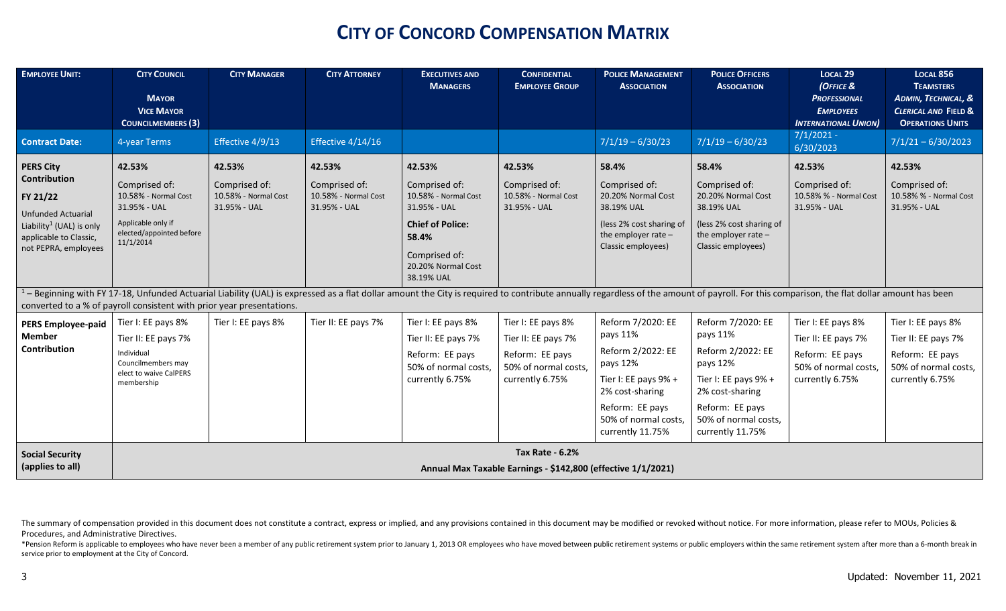| <b>EMPLOYEE UNIT:</b>                                                                                                                                               | <b>CITY COUNCIL</b><br><b>MAYOR</b><br><b>VICE MAYOR</b><br><b>COUNCILMEMBERS (3)</b>                                          | <b>CITY MANAGER</b>                                             | <b>CITY ATTORNEY</b>                                            | <b>EXECUTIVES AND</b><br><b>MANAGERS</b>                                                                                                                                                                                                | <b>CONFIDENTIAL</b><br><b>EMPLOYEE GROUP</b>                                                            | <b>POLICE MANAGEMENT</b><br><b>ASSOCIATION</b>                                                                                                                           | <b>POLICE OFFICERS</b><br><b>ASSOCIATION</b>                                                                                                                             | <b>LOCAL 29</b><br>(OFFICE &<br><b>PROFESSIONAL</b><br><b>EMPLOYEES</b><br><b>INTERNATIONAL UNION)</b>  | <b>LOCAL 856</b><br><b>TEAMSTERS</b><br><b>ADMIN, TECHNICAL, &amp;</b><br><b>CLERICAL AND FIELD &amp;</b><br><b>OPERATIONS UNITS</b> |
|---------------------------------------------------------------------------------------------------------------------------------------------------------------------|--------------------------------------------------------------------------------------------------------------------------------|-----------------------------------------------------------------|-----------------------------------------------------------------|-----------------------------------------------------------------------------------------------------------------------------------------------------------------------------------------------------------------------------------------|---------------------------------------------------------------------------------------------------------|--------------------------------------------------------------------------------------------------------------------------------------------------------------------------|--------------------------------------------------------------------------------------------------------------------------------------------------------------------------|---------------------------------------------------------------------------------------------------------|--------------------------------------------------------------------------------------------------------------------------------------|
| <b>Contract Date:</b>                                                                                                                                               | 4-year Terms                                                                                                                   | Effective 4/9/13                                                | Effective 4/14/16                                               |                                                                                                                                                                                                                                         |                                                                                                         | $7/1/19 - 6/30/23$                                                                                                                                                       | $7/1/19 - 6/30/23$                                                                                                                                                       | $7/1/2021 -$<br>6/30/2023                                                                               | $7/1/21 - 6/30/2023$                                                                                                                 |
| <b>PERS City</b><br>Contribution<br>FY 21/22<br><b>Unfunded Actuarial</b><br>Liability <sup>1</sup> (UAL) is only<br>applicable to Classic,<br>not PEPRA, employees | 42.53%<br>Comprised of:<br>10.58% - Normal Cost<br>31.95% - UAL<br>Applicable only if<br>elected/appointed before<br>11/1/2014 | 42.53%<br>Comprised of:<br>10.58% - Normal Cost<br>31.95% - UAL | 42.53%<br>Comprised of:<br>10.58% - Normal Cost<br>31.95% - UAL | 42.53%<br>Comprised of:<br>10.58% - Normal Cost<br>31.95% - UAL<br><b>Chief of Police:</b><br>58.4%<br>Comprised of:<br>20.20% Normal Cost<br>38.19% UAL                                                                                | 42.53%<br>Comprised of:<br>10.58% - Normal Cost<br>31.95% - UAL                                         | 58.4%<br>Comprised of:<br>20.20% Normal Cost<br>38.19% UAL<br>(less 2% cost sharing of<br>the employer rate $-$<br>Classic employees)                                    | 58.4%<br>Comprised of:<br>20.20% Normal Cost<br>38.19% UAL<br>(less 2% cost sharing of<br>the employer rate $-$<br>Classic employees)                                    | 42.53%<br>Comprised of:<br>10.58% % - Normal Cost<br>31.95% - UAL                                       | 42.53%<br>Comprised of:<br>10.58% % - Normal Cost<br>31.95% - UAL                                                                    |
|                                                                                                                                                                     | converted to a % of payroll consistent with prior year presentations.                                                          |                                                                 |                                                                 | <sup>1</sup> - Beginning with FY 17-18, Unfunded Actuarial Liability (UAL) is expressed as a flat dollar amount the City is required to contribute annually regardless of the amount of payroll. For this comparison, the flat dollar a |                                                                                                         |                                                                                                                                                                          |                                                                                                                                                                          |                                                                                                         |                                                                                                                                      |
| <b>PERS Employee-paid</b><br><b>Member</b><br>Contribution                                                                                                          | Tier I: EE pays 8%<br>Tier II: EE pays 7%<br>Individual<br>Councilmembers may<br>elect to waive CalPERS<br>membership          | Tier I: EE pays 8%                                              | Tier II: EE pays 7%                                             | Tier I: EE pays 8%<br>Tier II: EE pays 7%<br>Reform: EE pays<br>50% of normal costs,<br>currently 6.75%                                                                                                                                 | Tier I: EE pays 8%<br>Tier II: EE pays 7%<br>Reform: EE pays<br>50% of normal costs,<br>currently 6.75% | Reform 7/2020: EE<br>pays 11%<br>Reform 2/2022: EE<br>pays 12%<br>Tier I: EE pays 9% +<br>2% cost-sharing<br>Reform: EE pays<br>50% of normal costs,<br>currently 11.75% | Reform 7/2020: EE<br>pays 11%<br>Reform 2/2022: EE<br>pays 12%<br>Tier I: EE pays 9% +<br>2% cost-sharing<br>Reform: EE pays<br>50% of normal costs,<br>currently 11.75% | Tier I: EE pays 8%<br>Tier II: EE pays 7%<br>Reform: EE pays<br>50% of normal costs,<br>currently 6.75% | Tier I: EE pays 8%<br>Tier II: EE pays 7%<br>Reform: EE pays<br>50% of normal costs,<br>currently 6.75%                              |
| <b>Social Security</b><br>(applies to all)                                                                                                                          |                                                                                                                                |                                                                 |                                                                 |                                                                                                                                                                                                                                         | <b>Tax Rate - 6.2%</b><br>Annual Max Taxable Earnings - \$142,800 (effective 1/1/2021)                  |                                                                                                                                                                          |                                                                                                                                                                          |                                                                                                         |                                                                                                                                      |

The summary of compensation provided in this document does not constitute a contract, express or implied, and any provisions contained in this document may be modified or revoked without notice. For more information, pleas Procedures, and Administrative Directives.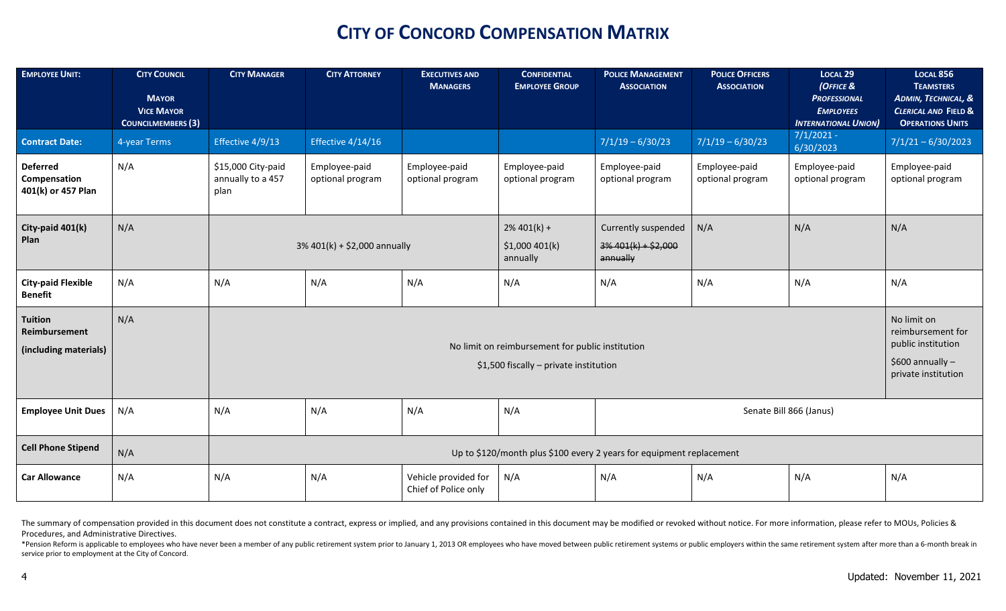| <b>EMPLOYEE UNIT:</b>                                           | <b>CITY COUNCIL</b><br><b>MAYOR</b><br><b>VICE MAYOR</b><br><b>COUNCILMEMBERS (3)</b> | <b>CITY MANAGER</b>                                                  | <b>CITY ATTORNEY</b>              | <b>EXECUTIVES AND</b><br><b>MANAGERS</b>     | <b>CONFIDENTIAL</b><br><b>EMPLOYEE GROUP</b>     | <b>POLICE MANAGEMENT</b><br><b>ASSOCIATION</b>          | <b>POLICE OFFICERS</b><br><b>ASSOCIATION</b> | LOCAL <sub>29</sub><br>(OFFICE &<br><b>PROFESSIONAL</b><br><b>EMPLOYEES</b><br><b>INTERNATIONAL UNION)</b> | <b>LOCAL 856</b><br><b>TEAMSTERS</b><br>ADMIN, TECHNICAL, &<br><b>CLERICAL AND FIELD &amp;</b><br><b>OPERATIONS UNITS</b> |
|-----------------------------------------------------------------|---------------------------------------------------------------------------------------|----------------------------------------------------------------------|-----------------------------------|----------------------------------------------|--------------------------------------------------|---------------------------------------------------------|----------------------------------------------|------------------------------------------------------------------------------------------------------------|---------------------------------------------------------------------------------------------------------------------------|
| <b>Contract Date:</b>                                           | 4-year Terms                                                                          | Effective 4/9/13                                                     | Effective 4/14/16                 |                                              |                                                  | $7/1/19 - 6/30/23$                                      | $7/1/19 - 6/30/23$                           | $7/1/2021 -$<br>6/30/2023                                                                                  | $7/1/21 - 6/30/2023$                                                                                                      |
| <b>Deferred</b><br>Compensation<br>401(k) or 457 Plan           | N/A                                                                                   | \$15,000 City-paid<br>annually to a 457<br>plan                      | Employee-paid<br>optional program | Employee-paid<br>optional program            | Employee-paid<br>optional program                | Employee-paid<br>optional program                       | Employee-paid<br>optional program            | Employee-paid<br>optional program                                                                          | Employee-paid<br>optional program                                                                                         |
| City-paid 401(k)<br>Plan                                        | N/A                                                                                   |                                                                      | 3% 401(k) + \$2,000 annually      |                                              | $2\% 401(k) +$<br>\$1,000401(k)<br>annually      | Currently suspended<br>$3\%401(k) + $2,000$<br>annually | N/A                                          | N/A                                                                                                        | N/A                                                                                                                       |
| <b>City-paid Flexible</b><br><b>Benefit</b>                     | N/A                                                                                   | N/A                                                                  | N/A                               | N/A                                          | N/A                                              | N/A                                                     | N/A                                          | N/A                                                                                                        | N/A                                                                                                                       |
| <b>Tuition</b><br><b>Reimbursement</b><br>(including materials) | N/A                                                                                   |                                                                      |                                   |                                              | No limit on reimbursement for public institution |                                                         |                                              |                                                                                                            | No limit on<br>reimbursement for<br>public institution                                                                    |
|                                                                 |                                                                                       |                                                                      |                                   |                                              | \$1,500 fiscally - private institution           |                                                         |                                              |                                                                                                            | \$600 annually -<br>private institution                                                                                   |
| <b>Employee Unit Dues</b>                                       | N/A                                                                                   | N/A                                                                  | N/A                               | N/A                                          | N/A                                              |                                                         | Senate Bill 866 (Janus)                      |                                                                                                            |                                                                                                                           |
| <b>Cell Phone Stipend</b>                                       | N/A                                                                                   | Up to \$120/month plus \$100 every 2 years for equipment replacement |                                   |                                              |                                                  |                                                         |                                              |                                                                                                            |                                                                                                                           |
| <b>Car Allowance</b>                                            | N/A                                                                                   | N/A                                                                  | N/A                               | Vehicle provided for<br>Chief of Police only | N/A                                              | N/A                                                     | N/A                                          | N/A                                                                                                        | N/A                                                                                                                       |

The summary of compensation provided in this document does not constitute a contract, express or implied, and any provisions contained in this document may be modified or revoked without notice. For more information, pleas Procedures, and Administrative Directives.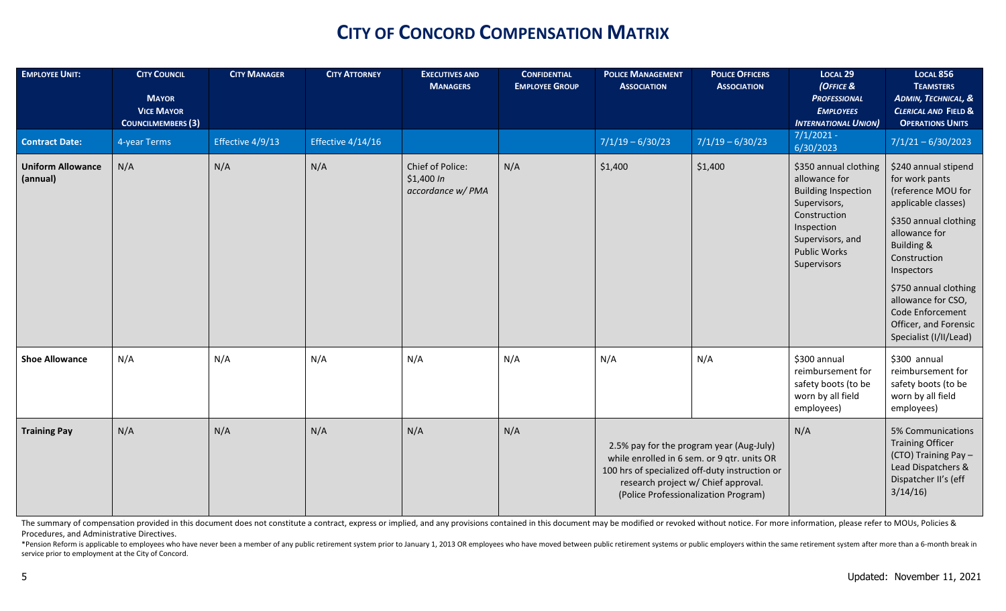| <b>EMPLOYEE UNIT:</b>                | <b>CITY COUNCIL</b><br><b>MAYOR</b><br><b>VICE MAYOR</b><br><b>COUNCILMEMBERS (3)</b> | <b>CITY MANAGER</b> | <b>CITY ATTORNEY</b> | <b>EXECUTIVES AND</b><br><b>MANAGERS</b>            | <b>CONFIDENTIAL</b><br><b>EMPLOYEE GROUP</b> | <b>POLICE MANAGEMENT</b><br><b>ASSOCIATION</b> | <b>POLICE OFFICERS</b><br><b>ASSOCIATION</b>                                                                                                                                                                             | LOCAL <sub>29</sub><br>(OFFICE &<br><b>PROFESSIONAL</b><br><b>EMPLOYEES</b><br><b>INTERNATIONAL UNION)</b>                                                                   | <b>LOCAL 856</b><br><b>TEAMSTERS</b><br>ADMIN, TECHNICAL, &<br><b>CLERICAL AND FIELD &amp;</b><br><b>OPERATIONS UNITS</b>                                                                                                                                                                                  |
|--------------------------------------|---------------------------------------------------------------------------------------|---------------------|----------------------|-----------------------------------------------------|----------------------------------------------|------------------------------------------------|--------------------------------------------------------------------------------------------------------------------------------------------------------------------------------------------------------------------------|------------------------------------------------------------------------------------------------------------------------------------------------------------------------------|------------------------------------------------------------------------------------------------------------------------------------------------------------------------------------------------------------------------------------------------------------------------------------------------------------|
| <b>Contract Date:</b>                | 4-year Terms                                                                          | Effective 4/9/13    | Effective 4/14/16    |                                                     |                                              | $7/1/19 - 6/30/23$                             | $7/1/19 - 6/30/23$                                                                                                                                                                                                       | $\frac{7}{12021}$ -<br>6/30/2023                                                                                                                                             | $7/1/21 - 6/30/2023$                                                                                                                                                                                                                                                                                       |
| <b>Uniform Allowance</b><br>(annual) | N/A                                                                                   | N/A                 | N/A                  | Chief of Police:<br>\$1,400 In<br>accordance w/ PMA | N/A                                          | \$1,400                                        | \$1,400                                                                                                                                                                                                                  | \$350 annual clothing<br>allowance for<br><b>Building Inspection</b><br>Supervisors,<br>Construction<br>Inspection<br>Supervisors, and<br><b>Public Works</b><br>Supervisors | \$240 annual stipend<br>for work pants<br>(reference MOU for<br>applicable classes)<br>\$350 annual clothing<br>allowance for<br><b>Building &amp;</b><br>Construction<br>Inspectors<br>\$750 annual clothing<br>allowance for CSO,<br>Code Enforcement<br>Officer, and Forensic<br>Specialist (I/II/Lead) |
| <b>Shoe Allowance</b>                | N/A                                                                                   | N/A                 | N/A                  | N/A                                                 | N/A                                          | N/A                                            | N/A                                                                                                                                                                                                                      | \$300 annual<br>reimbursement for<br>safety boots (to be<br>worn by all field<br>employees)                                                                                  | \$300 annual<br>reimbursement for<br>safety boots (to be<br>worn by all field<br>employees)                                                                                                                                                                                                                |
| <b>Training Pay</b>                  | N/A                                                                                   | N/A                 | N/A                  | N/A                                                 | N/A                                          |                                                | 2.5% pay for the program year (Aug-July)<br>while enrolled in 6 sem. or 9 qtr. units OR<br>100 hrs of specialized off-duty instruction or<br>research project w/ Chief approval.<br>(Police Professionalization Program) | N/A                                                                                                                                                                          | 5% Communications<br><b>Training Officer</b><br>(CTO) Training Pay -<br>Lead Dispatchers &<br>Dispatcher II's (eff<br>3/14/16                                                                                                                                                                              |

The summary of compensation provided in this document does not constitute a contract, express or implied, and any provisions contained in this document may be modified or revoked without notice. For more information, pleas Procedures, and Administrative Directives.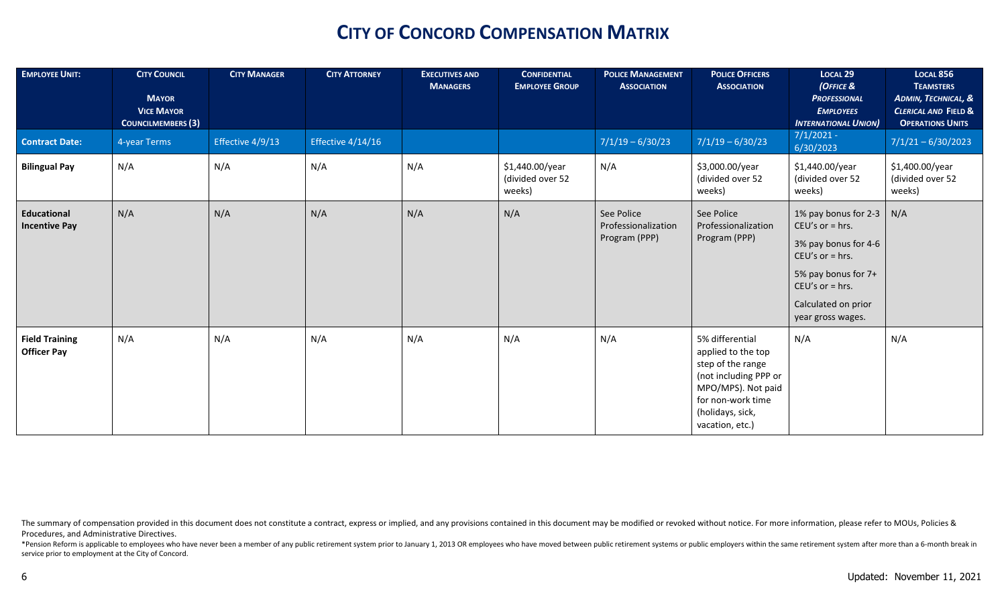| <b>EMPLOYEE UNIT:</b>                       | <b>CITY COUNCIL</b><br><b>MAYOR</b><br><b>VICE MAYOR</b><br><b>COUNCILMEMBERS (3)</b> | <b>CITY MANAGER</b> | <b>CITY ATTORNEY</b> | <b>EXECUTIVES AND</b><br><b>MANAGERS</b> | <b>CONFIDENTIAL</b><br><b>EMPLOYEE GROUP</b>  | <b>POLICE MANAGEMENT</b><br><b>ASSOCIATION</b>     | <b>POLICE OFFICERS</b><br><b>ASSOCIATION</b>                                                                                                                          | LOCAL <sub>29</sub><br>(OFFICE &<br><b>PROFESSIONAL</b><br><b>EMPLOYEES</b><br><b>INTERNATIONAL UNION)</b>                                                                     | <b>LOCAL 856</b><br><b>TEAMSTERS</b><br><b>ADMIN, TECHNICAL, &amp;</b><br><b>CLERICAL AND FIELD &amp;</b><br><b>OPERATIONS UNITS</b> |
|---------------------------------------------|---------------------------------------------------------------------------------------|---------------------|----------------------|------------------------------------------|-----------------------------------------------|----------------------------------------------------|-----------------------------------------------------------------------------------------------------------------------------------------------------------------------|--------------------------------------------------------------------------------------------------------------------------------------------------------------------------------|--------------------------------------------------------------------------------------------------------------------------------------|
| <b>Contract Date:</b>                       | 4-year Terms                                                                          | Effective 4/9/13    | Effective 4/14/16    |                                          |                                               | $7/1/19 - 6/30/23$                                 | $7/1/19 - 6/30/23$                                                                                                                                                    | $7/1/2021 -$<br>6/30/2023                                                                                                                                                      | $7/1/21 - 6/30/2023$                                                                                                                 |
| <b>Bilingual Pay</b>                        | N/A                                                                                   | N/A                 | N/A                  | N/A                                      | \$1,440.00/year<br>(divided over 52<br>weeks) | N/A                                                | \$3,000.00/year<br>(divided over 52<br>weeks)                                                                                                                         | \$1,440.00/year<br>(divided over 52<br>weeks)                                                                                                                                  | \$1,400.00/year<br>(divided over 52<br>weeks)                                                                                        |
| Educational<br><b>Incentive Pay</b>         | N/A                                                                                   | N/A                 | N/A                  | N/A                                      | N/A                                           | See Police<br>Professionalization<br>Program (PPP) | See Police<br>Professionalization<br>Program (PPP)                                                                                                                    | 1% pay bonus for 2-3<br>$CEU's$ or = hrs.<br>3% pay bonus for 4-6<br>CEU's or $=$ hrs.<br>5% pay bonus for 7+<br>CEU's or $=$ hrs.<br>Calculated on prior<br>year gross wages. | N/A                                                                                                                                  |
| <b>Field Training</b><br><b>Officer Pay</b> | N/A                                                                                   | N/A                 | N/A                  | N/A                                      | N/A                                           | N/A                                                | 5% differential<br>applied to the top<br>step of the range<br>(not including PPP or<br>MPO/MPS). Not paid<br>for non-work time<br>(holidays, sick,<br>vacation, etc.) | N/A                                                                                                                                                                            | N/A                                                                                                                                  |

The summary of compensation provided in this document does not constitute a contract, express or implied, and any provisions contained in this document may be modified or revoked without notice. For more information, pleas Procedures, and Administrative Directives.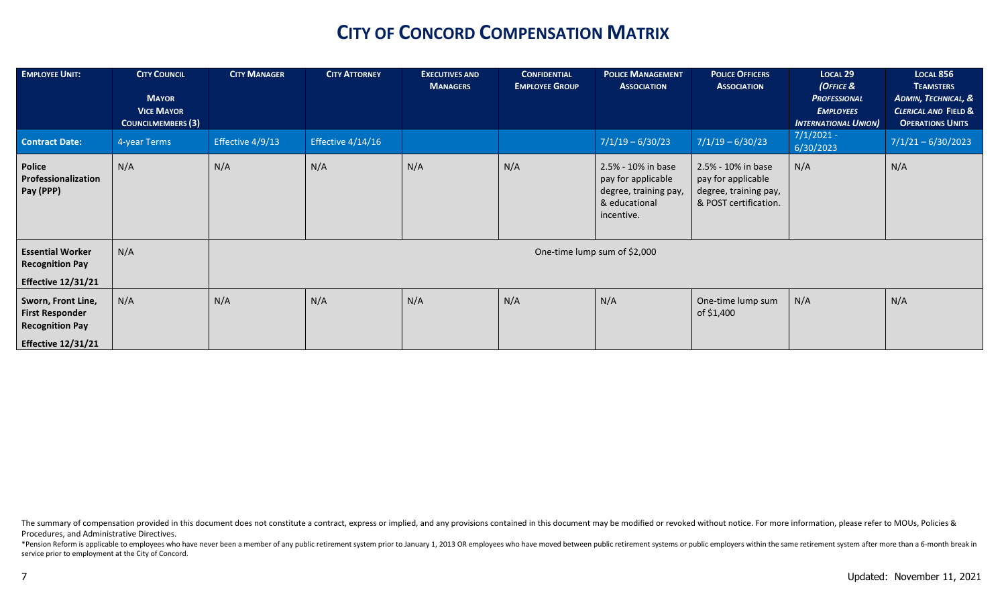| <b>EMPLOYEE UNIT:</b>                                                                               | <b>CITY COUNCIL</b><br><b>MAYOR</b><br><b>VICE MAYOR</b><br><b>COUNCILMEMBERS (3)</b> | <b>CITY MANAGER</b> | <b>CITY ATTORNEY</b> | <b>EXECUTIVES AND</b><br><b>MANAGERS</b> | <b>CONFIDENTIAL</b><br><b>EMPLOYEE GROUP</b> | <b>POLICE MANAGEMENT</b><br><b>ASSOCIATION</b>                                                   | <b>POLICE OFFICERS</b><br><b>ASSOCIATION</b>                                               | LOCAL <sub>29</sub><br>(OFFICE &<br><b>PROFESSIONAL</b><br><b>EMPLOYEES</b><br><b>INTERNATIONAL UNION)</b> | LOCAL 856<br><b>TEAMSTERS</b><br><b>ADMIN, TECHNICAL, &amp;</b><br><b>CLERICAL AND FIELD &amp;</b><br><b>OPERATIONS UNITS</b> |
|-----------------------------------------------------------------------------------------------------|---------------------------------------------------------------------------------------|---------------------|----------------------|------------------------------------------|----------------------------------------------|--------------------------------------------------------------------------------------------------|--------------------------------------------------------------------------------------------|------------------------------------------------------------------------------------------------------------|-------------------------------------------------------------------------------------------------------------------------------|
| <b>Contract Date:</b>                                                                               | 4-year Terms                                                                          | Effective 4/9/13    | Effective $4/14/16$  |                                          |                                              | $7/1/19 - 6/30/23$                                                                               | $7/1/19 - 6/30/23$                                                                         | $7/1/2021 -$<br>6/30/2023                                                                                  | $7/1/21 - 6/30/2023$                                                                                                          |
| Police<br>Professionalization<br>Pay (PPP)                                                          | N/A                                                                                   | N/A                 | N/A                  | N/A                                      | N/A                                          | 2.5% - 10% in base<br>pay for applicable<br>degree, training pay,<br>& educational<br>incentive. | 2.5% - 10% in base<br>pay for applicable<br>degree, training pay,<br>& POST certification. | N/A                                                                                                        | N/A                                                                                                                           |
| <b>Essential Worker</b><br><b>Recognition Pay</b><br><b>Effective 12/31/21</b>                      | N/A                                                                                   |                     |                      |                                          |                                              | One-time lump sum of \$2,000                                                                     |                                                                                            |                                                                                                            |                                                                                                                               |
| Sworn, Front Line,<br><b>First Responder</b><br><b>Recognition Pay</b><br><b>Effective 12/31/21</b> | N/A                                                                                   | N/A                 | N/A                  | N/A                                      | N/A                                          | N/A                                                                                              | One-time lump sum<br>of \$1,400                                                            | N/A                                                                                                        | N/A                                                                                                                           |

The summary of compensation provided in this document does not constitute a contract, express or implied, and any provisions contained in this document may be modified or revoked without notice. For more information, pleas Procedures, and Administrative Directives.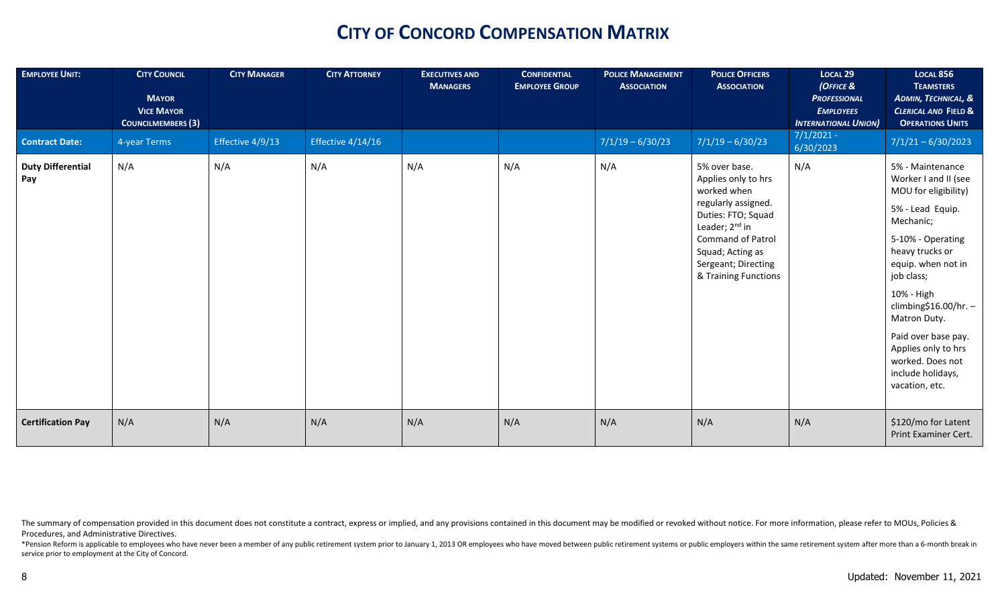| <b>EMPLOYEE UNIT:</b>           | <b>CITY COUNCIL</b><br><b>MAYOR</b><br><b>VICE MAYOR</b><br><b>COUNCILMEMBERS (3)</b> | <b>CITY MANAGER</b> | <b>CITY ATTORNEY</b> | <b>EXECUTIVES AND</b><br><b>MANAGERS</b> | <b>CONFIDENTIAL</b><br><b>EMPLOYEE GROUP</b> | <b>POLICE MANAGEMENT</b><br><b>ASSOCIATION</b> | <b>POLICE OFFICERS</b><br><b>ASSOCIATION</b>                                                                                                                                                                           | <b>LOCAL 29</b><br>(OFFICE &<br><b>PROFESSIONAL</b><br><b>EMPLOYEES</b><br><b>INTERNATIONAL UNION)</b> | <b>LOCAL 856</b><br><b>TEAMSTERS</b><br>ADMIN, TECHNICAL, &<br><b>CLERICAL AND FIELD &amp;</b><br><b>OPERATIONS UNITS</b>                                                                                                                                                                                                                     |
|---------------------------------|---------------------------------------------------------------------------------------|---------------------|----------------------|------------------------------------------|----------------------------------------------|------------------------------------------------|------------------------------------------------------------------------------------------------------------------------------------------------------------------------------------------------------------------------|--------------------------------------------------------------------------------------------------------|-----------------------------------------------------------------------------------------------------------------------------------------------------------------------------------------------------------------------------------------------------------------------------------------------------------------------------------------------|
| <b>Contract Date:</b>           | 4-year Terms                                                                          | Effective 4/9/13    | Effective 4/14/16    |                                          |                                              | $7/1/19 - 6/30/23$                             | $7/1/19 - 6/30/23$                                                                                                                                                                                                     | $7/1/2021 -$<br>6/30/2023                                                                              | $7/1/21 - 6/30/2023$                                                                                                                                                                                                                                                                                                                          |
| <b>Duty Differential</b><br>Pay | N/A                                                                                   | N/A                 | N/A                  | N/A                                      | N/A                                          | N/A                                            | 5% over base.<br>Applies only to hrs<br>worked when<br>regularly assigned.<br>Duties: FTO; Squad<br>Leader; 2 <sup>nd</sup> in<br>Command of Patrol<br>Squad; Acting as<br>Sergeant; Directing<br>& Training Functions | N/A                                                                                                    | 5% - Maintenance<br>Worker I and II (see<br>MOU for eligibility)<br>5% - Lead Equip.<br>Mechanic;<br>5-10% - Operating<br>heavy trucks or<br>equip. when not in<br>job class;<br>10% - High<br>climbing\$16.00/hr. -<br>Matron Duty.<br>Paid over base pay.<br>Applies only to hrs<br>worked. Does not<br>include holidays,<br>vacation, etc. |
| <b>Certification Pay</b>        | N/A                                                                                   | N/A                 | N/A                  | N/A                                      | N/A                                          | N/A                                            | N/A                                                                                                                                                                                                                    | N/A                                                                                                    | \$120/mo for Latent<br>Print Examiner Cert.                                                                                                                                                                                                                                                                                                   |

The summary of compensation provided in this document does not constitute a contract, express or implied, and any provisions contained in this document may be modified or revoked without notice. For more information, pleas Procedures, and Administrative Directives.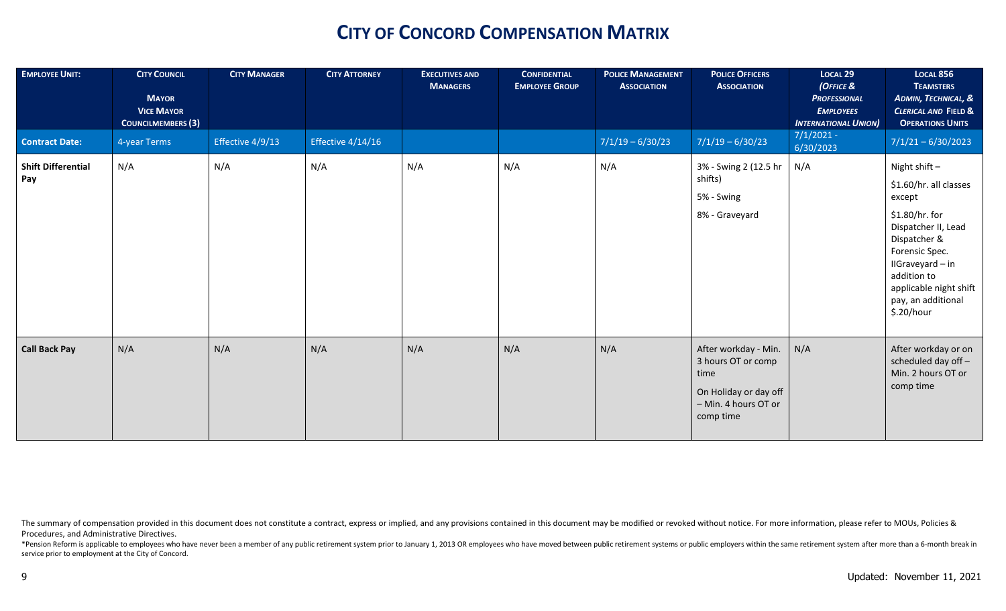| <b>EMPLOYEE UNIT:</b>            | <b>CITY COUNCIL</b><br><b>MAYOR</b><br><b>VICE MAYOR</b><br><b>COUNCILMEMBERS (3)</b> | <b>CITY MANAGER</b> | <b>CITY ATTORNEY</b> | <b>EXECUTIVES AND</b><br><b>MANAGERS</b> | <b>CONFIDENTIAL</b><br><b>EMPLOYEE GROUP</b> | <b>POLICE MANAGEMENT</b><br><b>ASSOCIATION</b> | <b>POLICE OFFICERS</b><br><b>ASSOCIATION</b>                                                                     | LOCAL <sub>29</sub><br>(OFFICE &<br><b>PROFESSIONAL</b><br><b>EMPLOYEES</b><br><b>INTERNATIONAL UNION)</b> | <b>LOCAL 856</b><br><b>TEAMSTERS</b><br>ADMIN, TECHNICAL, &<br><b>CLERICAL AND FIELD &amp;</b><br><b>OPERATIONS UNITS</b>                                                                                                       |
|----------------------------------|---------------------------------------------------------------------------------------|---------------------|----------------------|------------------------------------------|----------------------------------------------|------------------------------------------------|------------------------------------------------------------------------------------------------------------------|------------------------------------------------------------------------------------------------------------|---------------------------------------------------------------------------------------------------------------------------------------------------------------------------------------------------------------------------------|
| <b>Contract Date:</b>            | 4-year Terms                                                                          | Effective 4/9/13    | Effective 4/14/16    |                                          |                                              | $7/1/19 - 6/30/23$                             | $7/1/19 - 6/30/23$                                                                                               | $7/1/2021 -$<br>6/30/2023                                                                                  | $7/1/21 - 6/30/2023$                                                                                                                                                                                                            |
| <b>Shift Differential</b><br>Pay | N/A                                                                                   | N/A                 | N/A                  | N/A                                      | N/A                                          | N/A                                            | 3% - Swing 2 (12.5 hr<br>shifts)<br>5% - Swing<br>8% - Graveyard                                                 | N/A                                                                                                        | Night shift $-$<br>\$1.60/hr. all classes<br>except<br>\$1.80/hr. for<br>Dispatcher II, Lead<br>Dispatcher &<br>Forensic Spec.<br>IIGraveyard - in<br>addition to<br>applicable night shift<br>pay, an additional<br>\$.20/hour |
| <b>Call Back Pay</b>             | N/A                                                                                   | N/A                 | N/A                  | N/A                                      | N/A                                          | N/A                                            | After workday - Min.<br>3 hours OT or comp<br>time<br>On Holiday or day off<br>- Min. 4 hours OT or<br>comp time | N/A                                                                                                        | After workday or on<br>scheduled day off-<br>Min. 2 hours OT or<br>comp time                                                                                                                                                    |

The summary of compensation provided in this document does not constitute a contract, express or implied, and any provisions contained in this document may be modified or revoked without notice. For more information, pleas Procedures, and Administrative Directives.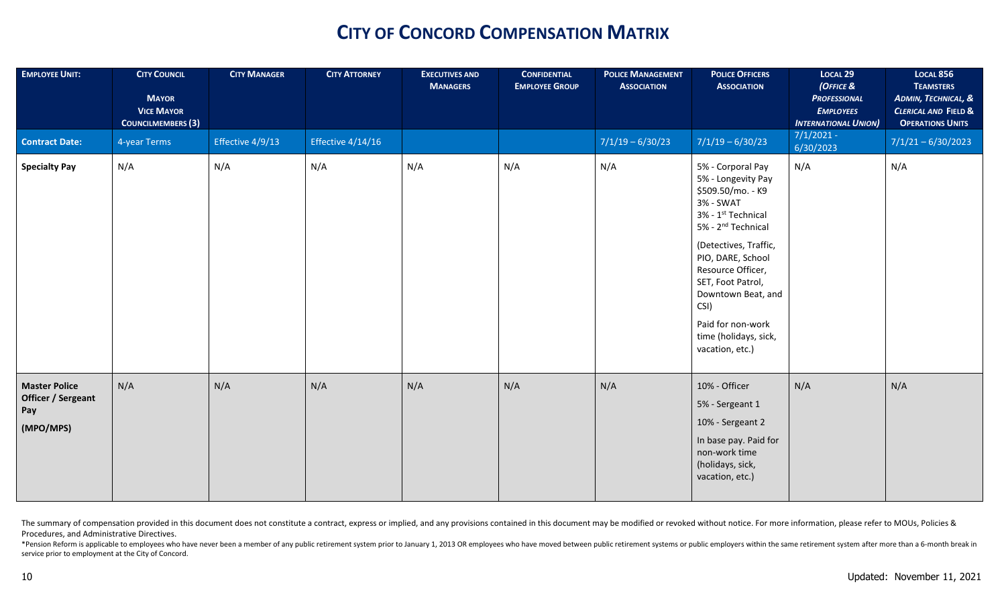| <b>EMPLOYEE UNIT:</b>                                                 | <b>CITY COUNCIL</b><br><b>MAYOR</b><br><b>VICE MAYOR</b><br><b>COUNCILMEMBERS (3)</b> | <b>CITY MANAGER</b> | <b>CITY ATTORNEY</b> | <b>EXECUTIVES AND</b><br><b>MANAGERS</b> | <b>CONFIDENTIAL</b><br><b>EMPLOYEE GROUP</b> | <b>POLICE MANAGEMENT</b><br><b>ASSOCIATION</b> | <b>POLICE OFFICERS</b><br><b>ASSOCIATION</b>                                                                                                                                                                                                                                                                                         | LOCAL <sub>29</sub><br>(OFFICE &<br><b>PROFESSIONAL</b><br><b>EMPLOYEES</b><br><b>INTERNATIONAL UNION)</b> | <b>LOCAL 856</b><br><b>TEAMSTERS</b><br>ADMIN, TECHNICAL, &<br><b>CLERICAL AND FIELD &amp;</b><br><b>OPERATIONS UNITS</b> |
|-----------------------------------------------------------------------|---------------------------------------------------------------------------------------|---------------------|----------------------|------------------------------------------|----------------------------------------------|------------------------------------------------|--------------------------------------------------------------------------------------------------------------------------------------------------------------------------------------------------------------------------------------------------------------------------------------------------------------------------------------|------------------------------------------------------------------------------------------------------------|---------------------------------------------------------------------------------------------------------------------------|
| <b>Contract Date:</b>                                                 | 4-year Terms                                                                          | Effective 4/9/13    | Effective 4/14/16    |                                          |                                              | $7/1/19 - 6/30/23$                             | $7/1/19 - 6/30/23$                                                                                                                                                                                                                                                                                                                   | $7/1/2021 -$<br>6/30/2023                                                                                  | $7/1/21 - 6/30/2023$                                                                                                      |
| <b>Specialty Pay</b>                                                  | N/A                                                                                   | N/A                 | N/A                  | N/A                                      | N/A                                          | N/A                                            | 5% - Corporal Pay<br>5% - Longevity Pay<br>\$509.50/mo. - K9<br>3% - SWAT<br>3% - 1 <sup>st</sup> Technical<br>5% - 2 <sup>nd</sup> Technical<br>(Detectives, Traffic,<br>PIO, DARE, School<br>Resource Officer,<br>SET, Foot Patrol,<br>Downtown Beat, and<br>CSI)<br>Paid for non-work<br>time (holidays, sick,<br>vacation, etc.) | N/A                                                                                                        | N/A                                                                                                                       |
| <b>Master Police</b><br><b>Officer / Sergeant</b><br>Pay<br>(MPO/MPS) | N/A                                                                                   | N/A                 | N/A                  | N/A                                      | N/A                                          | N/A                                            | 10% - Officer<br>5% - Sergeant 1<br>10% - Sergeant 2<br>In base pay. Paid for<br>non-work time<br>(holidays, sick,<br>vacation, etc.)                                                                                                                                                                                                | N/A                                                                                                        | N/A                                                                                                                       |

The summary of compensation provided in this document does not constitute a contract, express or implied, and any provisions contained in this document may be modified or revoked without notice. For more information, pleas Procedures, and Administrative Directives.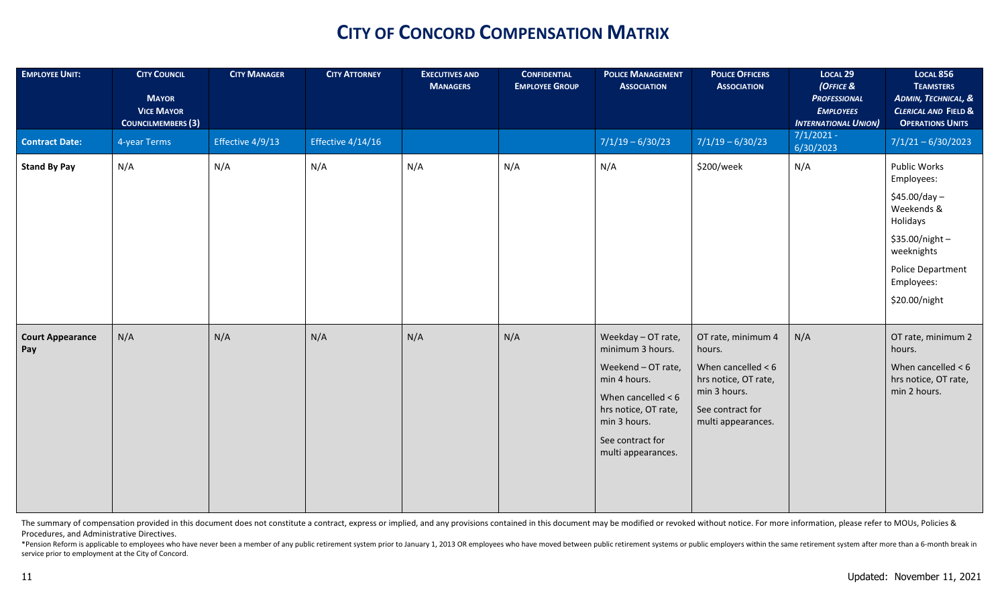| <b>EMPLOYEE UNIT:</b>          | <b>CITY COUNCIL</b><br><b>MAYOR</b><br><b>VICE MAYOR</b><br><b>COUNCILMEMBERS (3)</b> | <b>CITY MANAGER</b> | <b>CITY ATTORNEY</b> | <b>EXECUTIVES AND</b><br><b>MANAGERS</b> | <b>CONFIDENTIAL</b><br><b>EMPLOYEE GROUP</b> | <b>POLICE MANAGEMENT</b><br><b>ASSOCIATION</b>                                                                                                                                         | <b>POLICE OFFICERS</b><br><b>ASSOCIATION</b>                                                                                           | LOCAL <sub>29</sub><br>(OFFICE &<br><b>PROFESSIONAL</b><br><b>EMPLOYEES</b><br><b>INTERNATIONAL UNION)</b> | <b>LOCAL 856</b><br><b>TEAMSTERS</b><br>ADMIN, TECHNICAL, &<br><b>CLERICAL AND FIELD &amp;</b><br><b>OPERATIONS UNITS</b>                                              |
|--------------------------------|---------------------------------------------------------------------------------------|---------------------|----------------------|------------------------------------------|----------------------------------------------|----------------------------------------------------------------------------------------------------------------------------------------------------------------------------------------|----------------------------------------------------------------------------------------------------------------------------------------|------------------------------------------------------------------------------------------------------------|------------------------------------------------------------------------------------------------------------------------------------------------------------------------|
| <b>Contract Date:</b>          | 4-year Terms                                                                          | Effective 4/9/13    | Effective 4/14/16    |                                          |                                              | $7/1/19 - 6/30/23$                                                                                                                                                                     | $7/1/19 - 6/30/23$                                                                                                                     | $7/1/2021 -$<br>6/30/2023                                                                                  | $7/1/21 - 6/30/2023$                                                                                                                                                   |
| <b>Stand By Pay</b>            | N/A                                                                                   | N/A                 | N/A                  | N/A                                      | N/A                                          | N/A                                                                                                                                                                                    | \$200/week                                                                                                                             | N/A                                                                                                        | <b>Public Works</b><br>Employees:<br>\$45.00/day-<br>Weekends &<br>Holidays<br>\$35.00/night-<br>weeknights<br><b>Police Department</b><br>Employees:<br>\$20.00/night |
| <b>Court Appearance</b><br>Pay | N/A                                                                                   | N/A                 | N/A                  | N/A                                      | N/A                                          | Weekday - OT rate,<br>minimum 3 hours.<br>Weekend - OT rate,<br>min 4 hours.<br>When cancelled $<$ 6<br>hrs notice, OT rate,<br>min 3 hours.<br>See contract for<br>multi appearances. | OT rate, minimum 4<br>hours.<br>When cancelled $<$ 6<br>hrs notice, OT rate,<br>min 3 hours.<br>See contract for<br>multi appearances. | N/A                                                                                                        | OT rate, minimum 2<br>hours.<br>When cancelled $<$ 6<br>hrs notice, OT rate,<br>min 2 hours.                                                                           |

The summary of compensation provided in this document does not constitute a contract, express or implied, and any provisions contained in this document may be modified or revoked without notice. For more information, pleas Procedures, and Administrative Directives.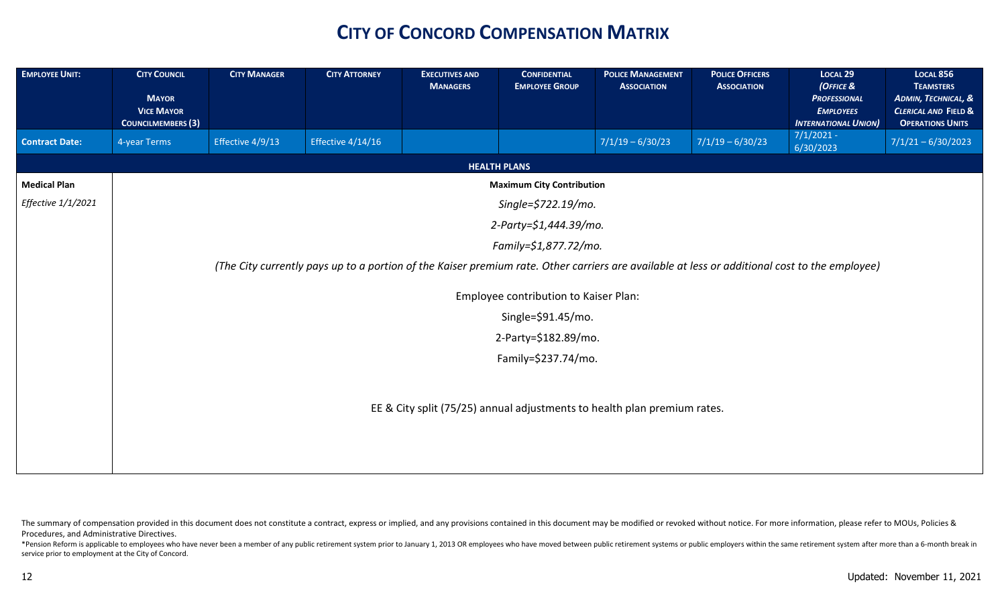| <b>EMPLOYEE UNIT:</b> | <b>CITY COUNCIL</b><br><b>MAYOR</b><br><b>VICE MAYOR</b><br><b>COUNCILMEMBERS (3)</b> | <b>CITY MANAGER</b> | <b>CITY ATTORNEY</b>                                                                                                                          | <b>EXECUTIVES AND</b><br><b>MANAGERS</b> | <b>CONFIDENTIAL</b><br><b>EMPLOYEE GROUP</b>                             | <b>POLICE MANAGEMENT</b><br><b>ASSOCIATION</b> | <b>POLICE OFFICERS</b><br><b>ASSOCIATION</b> | LOCAL <sub>29</sub><br>(OFFICE &<br><b>PROFESSIONAL</b><br><b>EMPLOYEES</b><br><b>INTERNATIONAL UNION)</b> | <b>LOCAL 856</b><br><b>TEAMSTERS</b><br>ADMIN, TECHNICAL, &<br><b>CLERICAL AND FIELD &amp;</b><br><b>OPERATIONS UNITS</b> |
|-----------------------|---------------------------------------------------------------------------------------|---------------------|-----------------------------------------------------------------------------------------------------------------------------------------------|------------------------------------------|--------------------------------------------------------------------------|------------------------------------------------|----------------------------------------------|------------------------------------------------------------------------------------------------------------|---------------------------------------------------------------------------------------------------------------------------|
| <b>Contract Date:</b> | 4-year Terms                                                                          | Effective 4/9/13    | Effective 4/14/16                                                                                                                             |                                          |                                                                          | $7/1/19 - 6/30/23$                             | $7/1/19 - 6/30/23$                           | $7/1/2021 -$<br>6/30/2023                                                                                  | $7/1/21 - 6/30/2023$                                                                                                      |
|                       |                                                                                       |                     |                                                                                                                                               |                                          | <b>HEALTH PLANS</b>                                                      |                                                |                                              |                                                                                                            |                                                                                                                           |
| <b>Medical Plan</b>   |                                                                                       |                     |                                                                                                                                               |                                          | <b>Maximum City Contribution</b>                                         |                                                |                                              |                                                                                                            |                                                                                                                           |
| Effective 1/1/2021    |                                                                                       |                     |                                                                                                                                               |                                          | $Single=$722.19/mol.$                                                    |                                                |                                              |                                                                                                            |                                                                                                                           |
|                       |                                                                                       |                     |                                                                                                                                               |                                          | 2-Party=\$1,444.39/mo.                                                   |                                                |                                              |                                                                                                            |                                                                                                                           |
|                       |                                                                                       |                     |                                                                                                                                               |                                          | Family=\$1,877.72/mo.                                                    |                                                |                                              |                                                                                                            |                                                                                                                           |
|                       |                                                                                       |                     | (The City currently pays up to a portion of the Kaiser premium rate. Other carriers are available at less or additional cost to the employee) |                                          |                                                                          |                                                |                                              |                                                                                                            |                                                                                                                           |
|                       |                                                                                       |                     |                                                                                                                                               |                                          | Employee contribution to Kaiser Plan:                                    |                                                |                                              |                                                                                                            |                                                                                                                           |
|                       |                                                                                       |                     |                                                                                                                                               |                                          | Single=\$91.45/mo.                                                       |                                                |                                              |                                                                                                            |                                                                                                                           |
|                       |                                                                                       |                     |                                                                                                                                               |                                          | 2-Party=\$182.89/mo.                                                     |                                                |                                              |                                                                                                            |                                                                                                                           |
|                       |                                                                                       |                     |                                                                                                                                               |                                          | Family=\$237.74/mo.                                                      |                                                |                                              |                                                                                                            |                                                                                                                           |
|                       |                                                                                       |                     |                                                                                                                                               |                                          | EE & City split (75/25) annual adjustments to health plan premium rates. |                                                |                                              |                                                                                                            |                                                                                                                           |

The summary of compensation provided in this document does not constitute a contract, express or implied, and any provisions contained in this document may be modified or revoked without notice. For more information, pleas Procedures, and Administrative Directives.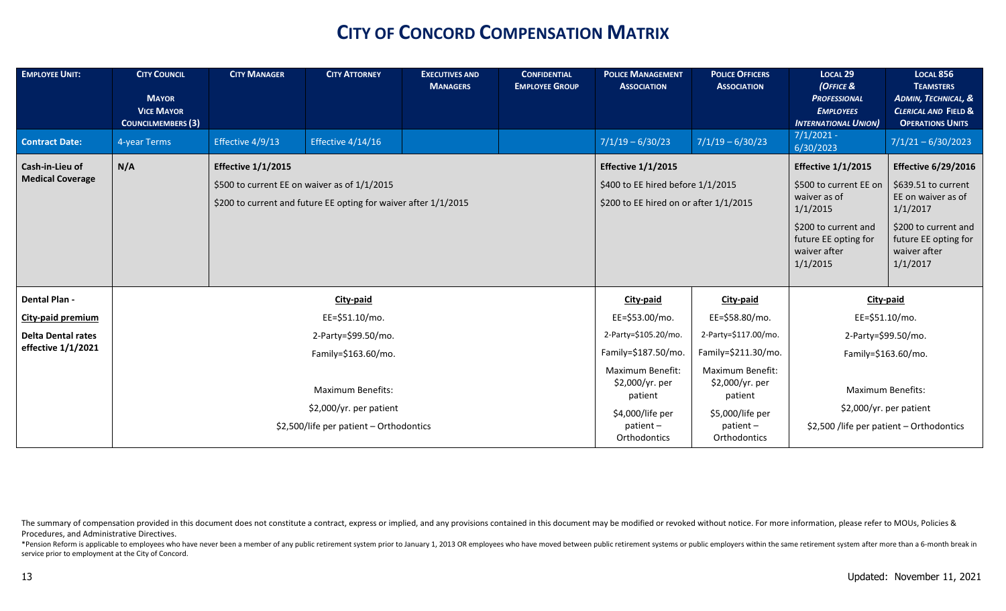| <b>EMPLOYEE UNIT:</b>     | <b>CITY COUNCIL</b><br><b>MAYOR</b><br><b>VICE MAYOR</b><br><b>COUNCILMEMBERS (3)</b> | <b>CITY MANAGER</b>       | <b>CITY ATTORNEY</b>                                                                                            | <b>EXECUTIVES AND</b><br><b>MANAGERS</b> | <b>CONFIDENTIAL</b><br><b>EMPLOYEE GROUP</b> | <b>POLICE MANAGEMENT</b><br><b>ASSOCIATION</b>                              | <b>POLICE OFFICERS</b><br><b>ASSOCIATION</b>                             | LOCAL <sub>29</sub><br>(OFFICE &<br><b>PROFESSIONAL</b><br><b>EMPLOYEES</b><br><b>INTERNATIONAL UNION)</b> | <b>LOCAL 856</b><br><b>TEAMSTERS</b><br>ADMIN, TECHNICAL, &<br><b>CLERICAL AND FIELD &amp;</b><br><b>OPERATIONS UNITS</b> |
|---------------------------|---------------------------------------------------------------------------------------|---------------------------|-----------------------------------------------------------------------------------------------------------------|------------------------------------------|----------------------------------------------|-----------------------------------------------------------------------------|--------------------------------------------------------------------------|------------------------------------------------------------------------------------------------------------|---------------------------------------------------------------------------------------------------------------------------|
| <b>Contract Date:</b>     | 4-year Terms                                                                          | Effective 4/9/13          | Effective 4/14/16                                                                                               |                                          |                                              | $7/1/19 - 6/30/23$                                                          | $7/1/19 - 6/30/23$                                                       | $7/1/2021 -$<br>6/30/2023                                                                                  | $7/1/21 - 6/30/2023$                                                                                                      |
| Cash-in-Lieu of           | N/A                                                                                   | <b>Effective 1/1/2015</b> |                                                                                                                 |                                          |                                              | <b>Effective 1/1/2015</b>                                                   |                                                                          | <b>Effective 1/1/2015</b>                                                                                  | <b>Effective 6/29/2016</b>                                                                                                |
| <b>Medical Coverage</b>   |                                                                                       |                           | \$500 to current EE on waiver as of 1/1/2015<br>\$200 to current and future EE opting for waiver after 1/1/2015 |                                          |                                              | \$400 to EE hired before 1/1/2015<br>\$200 to EE hired on or after 1/1/2015 |                                                                          | \$500 to current EE on<br>waiver as of<br>1/1/2015                                                         | \$639.51 to current<br>EE on waiver as of<br>1/1/2017                                                                     |
|                           |                                                                                       |                           |                                                                                                                 |                                          |                                              |                                                                             | \$200 to current and<br>future EE opting for<br>waiver after<br>1/1/2015 | \$200 to current and<br>future EE opting for<br>waiver after<br>1/1/2017                                   |                                                                                                                           |
| Dental Plan -             |                                                                                       |                           | City-paid                                                                                                       |                                          |                                              | City-paid                                                                   | <b>City-paid</b>                                                         | City-paid                                                                                                  |                                                                                                                           |
| City-paid premium         |                                                                                       |                           | EE=\$51.10/mo.                                                                                                  |                                          |                                              | EE=\$53.00/mo.                                                              | EE=\$58.80/mo.                                                           | EE=\$51.10/mo.                                                                                             |                                                                                                                           |
| <b>Delta Dental rates</b> |                                                                                       |                           | 2-Party=\$99.50/mo.                                                                                             |                                          |                                              | 2-Party=\$105.20/mo.                                                        | 2-Party=\$117.00/mo.                                                     | 2-Party=\$99.50/mo.                                                                                        |                                                                                                                           |
| effective 1/1/2021        |                                                                                       |                           | Family=\$163.60/mo.                                                                                             |                                          |                                              | Family=\$187.50/mo.                                                         | Family=\$211.30/mo.                                                      | Family=\$163.60/mo.                                                                                        |                                                                                                                           |
|                           |                                                                                       |                           | <b>Maximum Benefits:</b>                                                                                        |                                          |                                              | Maximum Benefit:<br>\$2,000/yr. per<br>patient                              | Maximum Benefit:<br>\$2,000/yr. per<br>patient                           | <b>Maximum Benefits:</b>                                                                                   |                                                                                                                           |
|                           |                                                                                       |                           | \$2,000/yr. per patient                                                                                         |                                          |                                              | \$4,000/life per                                                            | \$5,000/life per                                                         | \$2,000/yr. per patient                                                                                    |                                                                                                                           |
|                           |                                                                                       |                           | \$2,500/life per patient - Orthodontics                                                                         |                                          |                                              | patient-<br>Orthodontics                                                    | patient-<br>Orthodontics                                                 | \$2,500 /life per patient - Orthodontics                                                                   |                                                                                                                           |

The summary of compensation provided in this document does not constitute a contract, express or implied, and any provisions contained in this document may be modified or revoked without notice. For more information, pleas Procedures, and Administrative Directives.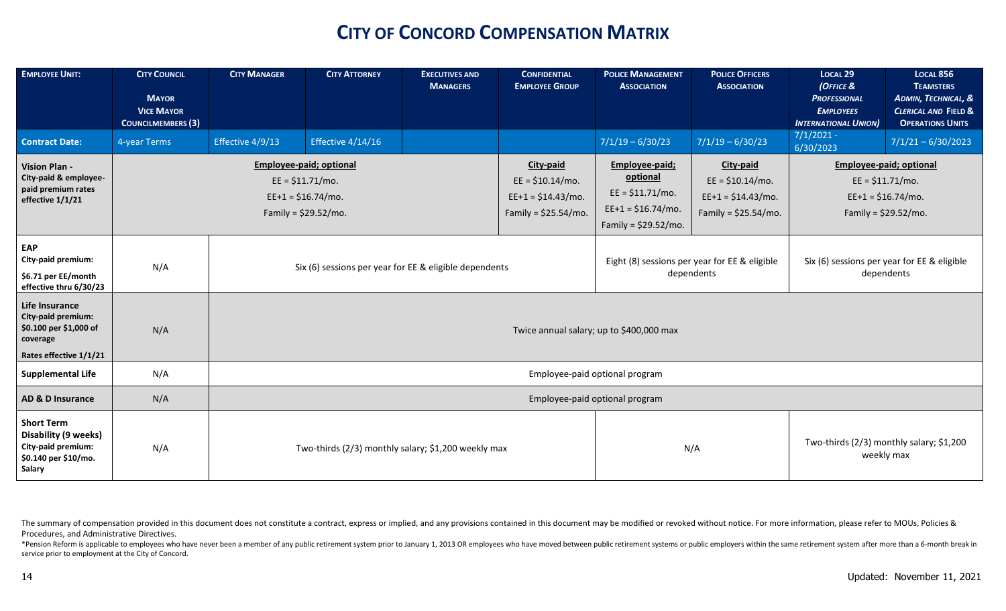| <b>EMPLOYEE UNIT:</b>                                                                                | <b>CITY COUNCIL</b><br><b>MAYOR</b><br><b>VICE MAYOR</b><br><b>COUNCILMEMBERS (3)</b> | <b>CITY MANAGER</b> | <b>CITY ATTORNEY</b>                                                                               | <b>EXECUTIVES AND</b><br><b>MANAGERS</b> | <b>CONFIDENTIAL</b><br><b>EMPLOYEE GROUP</b>                                         | <b>POLICE MANAGEMENT</b><br><b>ASSOCIATION</b>                                                        | <b>POLICE OFFICERS</b><br><b>ASSOCIATION</b>                                         | <b>LOCAL 29</b><br>(OFFICE &<br><b>PROFESSIONAL</b><br><b>EMPLOYEES</b><br><b>INTERNATIONAL UNION)</b> | <b>LOCAL 856</b><br><b>TEAMSTERS</b><br><b>ADMIN, TECHNICAL, &amp;</b><br><b>CLERICAL AND FIELD &amp;</b><br><b>OPERATIONS UNITS</b> |
|------------------------------------------------------------------------------------------------------|---------------------------------------------------------------------------------------|---------------------|----------------------------------------------------------------------------------------------------|------------------------------------------|--------------------------------------------------------------------------------------|-------------------------------------------------------------------------------------------------------|--------------------------------------------------------------------------------------|--------------------------------------------------------------------------------------------------------|--------------------------------------------------------------------------------------------------------------------------------------|
| <b>Contract Date:</b>                                                                                | 4-year Terms                                                                          | Effective 4/9/13    | Effective 4/14/16                                                                                  |                                          |                                                                                      | $7/1/19 - 6/30/23$                                                                                    | $7/1/19 - 6/30/23$                                                                   | $7/1/2021 -$<br>6/30/2023                                                                              | $7/1/21 - 6/30/2023$                                                                                                                 |
| <b>Vision Plan -</b><br>City-paid & employee-<br>paid premium rates<br>effective 1/1/21              |                                                                                       |                     | Employee-paid; optional<br>$EE = $11.71/mol$ .<br>$EE+1 = $16.74/mol$ .<br>Family = $$29.52/mol$ . |                                          | City-paid<br>$EE = $10.14/mol$ .<br>$EE+1 = $14.43/mol$ .<br>Family = $$25.54/mol$ . | Employee-paid;<br>optional<br>$EE = $11.71/mol$ .<br>$EE+1 = $16.74/mol$ .<br>Family = $$29.52/mol$ . | City-paid<br>$EE = $10.14/mol$ .<br>$EE+1 = $14.43/mol$ .<br>Family = $$25.54/mol$ . | $EE = $11.71/mol$ .<br>Family = $$29.52/mol$ .                                                         | Employee-paid; optional<br>$EE+1 = $16.74/mol$ .                                                                                     |
| EAP<br>City-paid premium:<br>\$6.71 per EE/month<br>effective thru 6/30/23                           | N/A                                                                                   |                     | Six (6) sessions per year for EE & eligible dependents                                             |                                          |                                                                                      |                                                                                                       | Eight (8) sessions per year for EE & eligible<br>dependents                          | Six (6) sessions per year for EE & eligible<br>dependents                                              |                                                                                                                                      |
| Life Insurance<br>City-paid premium:<br>\$0.100 per \$1,000 of<br>coverage<br>Rates effective 1/1/21 | N/A                                                                                   |                     |                                                                                                    |                                          |                                                                                      | Twice annual salary; up to \$400,000 max                                                              |                                                                                      |                                                                                                        |                                                                                                                                      |
| <b>Supplemental Life</b>                                                                             | N/A                                                                                   |                     |                                                                                                    |                                          |                                                                                      | Employee-paid optional program                                                                        |                                                                                      |                                                                                                        |                                                                                                                                      |
| <b>AD &amp; D Insurance</b>                                                                          | N/A                                                                                   |                     |                                                                                                    |                                          |                                                                                      | Employee-paid optional program                                                                        |                                                                                      |                                                                                                        |                                                                                                                                      |
| <b>Short Term</b><br>Disability (9 weeks)<br>City-paid premium:<br>\$0.140 per \$10/mo.<br>Salary    | N/A                                                                                   |                     | Two-thirds (2/3) monthly salary; \$1,200 weekly max                                                |                                          |                                                                                      | N/A                                                                                                   |                                                                                      | Two-thirds (2/3) monthly salary; \$1,200                                                               | weekly max                                                                                                                           |

The summary of compensation provided in this document does not constitute a contract, express or implied, and any provisions contained in this document may be modified or revoked without notice. For more information, pleas Procedures, and Administrative Directives.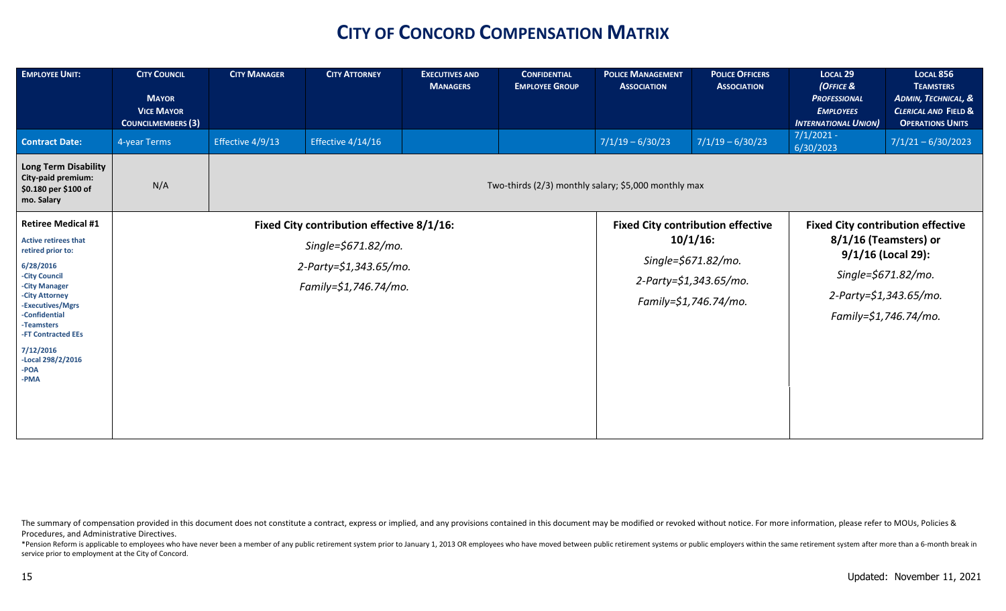| <b>EMPLOYEE UNIT:</b>                                                                                                                                                                                                                                                     | <b>CITY COUNCIL</b><br><b>MAYOR</b><br><b>VICE MAYOR</b><br><b>COUNCILMEMBERS (3)</b> | <b>CITY MANAGER</b> | <b>CITY ATTORNEY</b>                                                                                                | <b>EXECUTIVES AND</b><br><b>MANAGERS</b> | <b>CONFIDENTIAL</b><br><b>EMPLOYEE GROUP</b> | <b>POLICE MANAGEMENT</b><br><b>ASSOCIATION</b>                                                                                    | <b>POLICE OFFICERS</b><br><b>ASSOCIATION</b> | LOCAL <sub>29</sub><br>(OFFICE &<br><b>PROFESSIONAL</b><br><b>EMPLOYEES</b><br><b>INTERNATIONAL UNION)</b>                                                        | <b>LOCAL 856</b><br><b>TEAMSTERS</b><br>ADMIN, TECHNICAL, &<br><b>CLERICAL AND FIELD &amp;</b><br><b>OPERATIONS UNITS</b> |  |
|---------------------------------------------------------------------------------------------------------------------------------------------------------------------------------------------------------------------------------------------------------------------------|---------------------------------------------------------------------------------------|---------------------|---------------------------------------------------------------------------------------------------------------------|------------------------------------------|----------------------------------------------|-----------------------------------------------------------------------------------------------------------------------------------|----------------------------------------------|-------------------------------------------------------------------------------------------------------------------------------------------------------------------|---------------------------------------------------------------------------------------------------------------------------|--|
| <b>Contract Date:</b>                                                                                                                                                                                                                                                     | 4-year Terms                                                                          | Effective 4/9/13    | Effective $4/14/16$                                                                                                 |                                          |                                              | $7/1/19 - 6/30/23$                                                                                                                | $7/1/19 - 6/30/23$                           | $7/1/2021 -$<br>6/30/2023                                                                                                                                         | $7/1/21 - 6/30/2023$                                                                                                      |  |
| <b>Long Term Disability</b><br>City-paid premium:<br>\$0.180 per \$100 of<br>mo. Salary                                                                                                                                                                                   | N/A                                                                                   |                     |                                                                                                                     |                                          |                                              | Two-thirds (2/3) monthly salary; \$5,000 monthly max                                                                              |                                              |                                                                                                                                                                   |                                                                                                                           |  |
| <b>Retiree Medical #1</b><br><b>Active retirees that</b><br>retired prior to:<br>6/28/2016<br>-City Council<br>-City Manager<br>-City Attorney<br>-Executives/Mgrs<br>-Confidential<br>-Teamsters<br>-FT Contracted EEs<br>7/12/2016<br>-Local 298/2/2016<br>-POA<br>-PMA |                                                                                       |                     | Fixed City contribution effective 8/1/16:<br>Single=\$671.82/mo.<br>2-Party=\$1,343.65/mo.<br>Family=\$1,746.74/mo. |                                          |                                              | <b>Fixed City contribution effective</b><br>$10/1/16$ :<br>Single=\$671.82/mo.<br>2-Party=\$1,343.65/mo.<br>Family=\$1,746.74/mo. |                                              | <b>Fixed City contribution effective</b><br>8/1/16 (Teamsters) or<br>9/1/16 (Local 29):<br>Single=\$671.82/mo.<br>2-Party=\$1,343.65/mo.<br>Family=\$1,746.74/mo. |                                                                                                                           |  |

The summary of compensation provided in this document does not constitute a contract, express or implied, and any provisions contained in this document may be modified or revoked without notice. For more information, pleas Procedures, and Administrative Directives.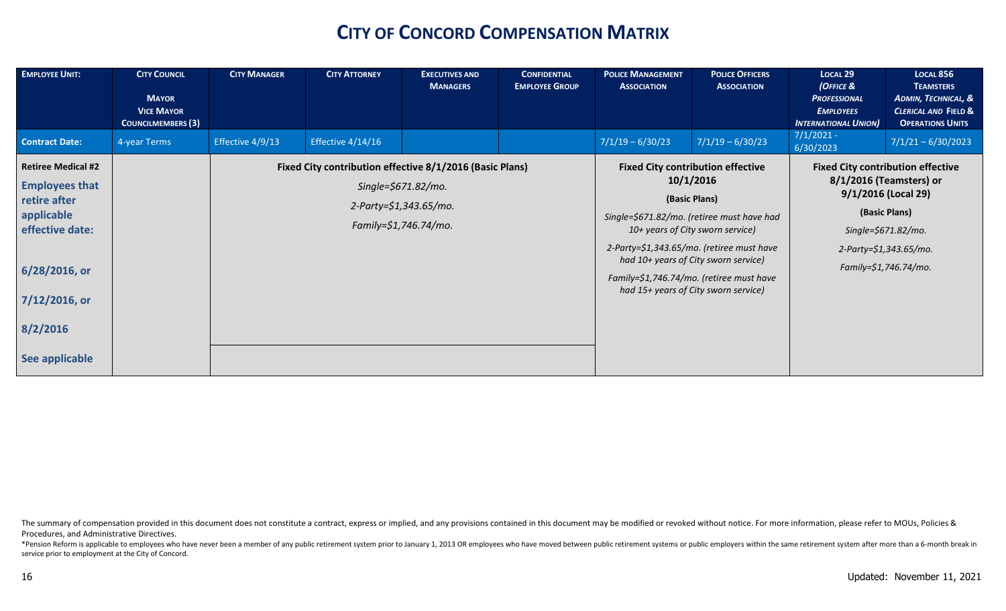| <b>EMPLOYEE UNIT:</b>                                                                                                                                               | <b>CITY COUNCIL</b><br><b>MAYOR</b>            | <b>CITY MANAGER</b> | <b>CITY ATTORNEY</b> | <b>EXECUTIVES AND</b><br><b>MANAGERS</b>                                                                                           | <b>CONFIDENTIAL</b><br><b>EMPLOYEE GROUP</b> | <b>POLICE MANAGEMENT</b><br><b>ASSOCIATION</b> | <b>POLICE OFFICERS</b><br><b>ASSOCIATION</b>                                                                                                                                                                                                                                                                                      | <b>LOCAL 29</b><br>(OFFICE &<br><b>PROFESSIONAL</b> | <b>LOCAL 856</b><br><b>TEAMSTERS</b><br><b>ADMIN, TECHNICAL, &amp;</b>                                                                                                                |
|---------------------------------------------------------------------------------------------------------------------------------------------------------------------|------------------------------------------------|---------------------|----------------------|------------------------------------------------------------------------------------------------------------------------------------|----------------------------------------------|------------------------------------------------|-----------------------------------------------------------------------------------------------------------------------------------------------------------------------------------------------------------------------------------------------------------------------------------------------------------------------------------|-----------------------------------------------------|---------------------------------------------------------------------------------------------------------------------------------------------------------------------------------------|
|                                                                                                                                                                     | <b>VICE MAYOR</b><br><b>COUNCILMEMBERS (3)</b> |                     |                      |                                                                                                                                    |                                              |                                                |                                                                                                                                                                                                                                                                                                                                   | <b>EMPLOYEES</b><br><b>INTERNATIONAL UNION)</b>     | <b>CLERICAL AND FIELD &amp;</b><br><b>OPERATIONS UNITS</b>                                                                                                                            |
| <b>Contract Date:</b>                                                                                                                                               | 4-year Terms                                   | Effective 4/9/13    | Effective 4/14/16    |                                                                                                                                    |                                              | $7/1/19 - 6/30/23$                             | $7/1/19 - 6/30/23$                                                                                                                                                                                                                                                                                                                | $7/1/2021 -$<br>6/30/2023                           | $7/1/21 - 6/30/2023$                                                                                                                                                                  |
| <b>Retiree Medical #2</b><br><b>Employees that</b><br>retire after<br>applicable<br>effective date:<br>6/28/2016, or<br>7/12/2016, or<br>8/2/2016<br>See applicable |                                                |                     |                      | Fixed City contribution effective 8/1/2016 (Basic Plans)<br>Single=\$671.82/mo.<br>2-Party=\$1,343.65/mo.<br>Family=\$1,746.74/mo. |                                              |                                                | <b>Fixed City contribution effective</b><br>10/1/2016<br>(Basic Plans)<br>Single=\$671.82/mo. (retiree must have had<br>10+ years of City sworn service)<br>2-Party=\$1,343.65/mo. (retiree must have<br>had 10+ years of City sworn service)<br>Family=\$1,746.74/mo. (retiree must have<br>had 15+ years of City sworn service) |                                                     | <b>Fixed City contribution effective</b><br>8/1/2016 (Teamsters) or<br>9/1/2016 (Local 29)<br>(Basic Plans)<br>Single=\$671.82/mo.<br>2-Party=\$1,343.65/mo.<br>Family=\$1,746.74/mo. |

The summary of compensation provided in this document does not constitute a contract, express or implied, and any provisions contained in this document may be modified or revoked without notice. For more information, pleas Procedures, and Administrative Directives.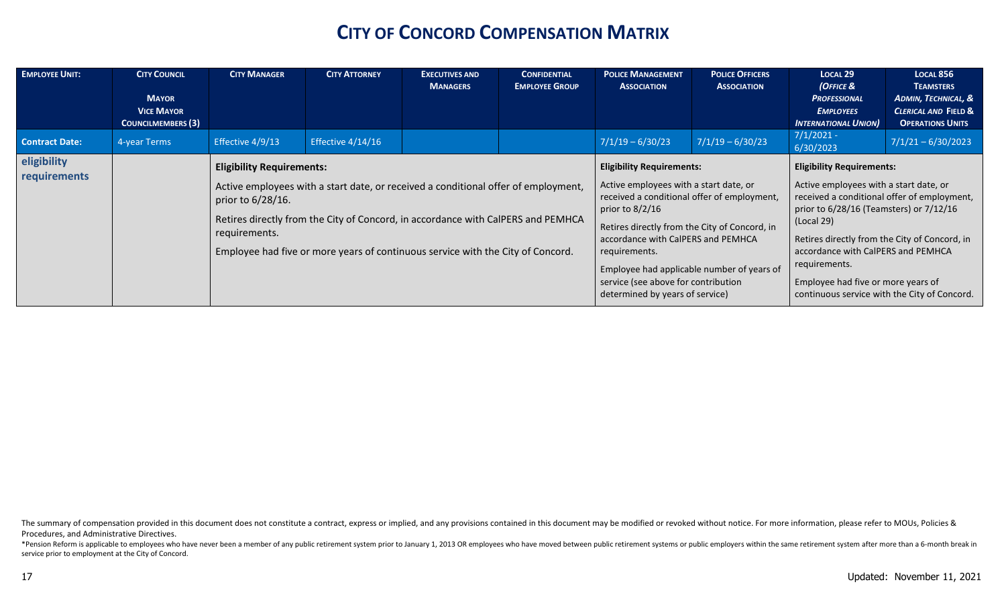| <b>EMPLOYEE UNIT:</b>       | <b>CITY COUNCIL</b><br><b>MAYOR</b><br><b>VICE MAYOR</b><br><b>COUNCILMEMBERS (3)</b> | <b>CITY MANAGER</b>                                                       | <b>CITY ATTORNEY</b>                                                                                                                                                                                                                                      | <b>EXECUTIVES AND</b><br><b>MANAGERS</b> | <b>CONFIDENTIAL</b><br><b>EMPLOYEE GROUP</b> | <b>POLICE MANAGEMENT</b><br><b>ASSOCIATION</b>                                                                                                                                                                                                                                                                                                                                 | <b>POLICE OFFICERS</b><br><b>ASSOCIATION</b> | LOCAL <sub>29</sub><br>(OFFICE &<br><b>PROFESSIONAL</b><br><b>EMPLOYEES</b><br><b>INTERNATIONAL UNION)</b>                                                                                                                       | <b>LOCAL 856</b><br><b>TEAMSTERS</b><br><b>ADMIN, TECHNICAL, &amp;</b><br><b>CLERICAL AND FIELD &amp;</b><br><b>OPERATIONS UNITS</b>         |
|-----------------------------|---------------------------------------------------------------------------------------|---------------------------------------------------------------------------|-----------------------------------------------------------------------------------------------------------------------------------------------------------------------------------------------------------------------------------------------------------|------------------------------------------|----------------------------------------------|--------------------------------------------------------------------------------------------------------------------------------------------------------------------------------------------------------------------------------------------------------------------------------------------------------------------------------------------------------------------------------|----------------------------------------------|----------------------------------------------------------------------------------------------------------------------------------------------------------------------------------------------------------------------------------|----------------------------------------------------------------------------------------------------------------------------------------------|
| <b>Contract Date:</b>       | 4-year Terms                                                                          | Effective 4/9/13                                                          | Effective 4/14/16                                                                                                                                                                                                                                         |                                          |                                              | $7/1/19 - 6/30/23$                                                                                                                                                                                                                                                                                                                                                             | $7/1/19 - 6/30/23$                           | $7/1/2021 -$<br>6/30/2023                                                                                                                                                                                                        | $7/1/21 - 6/30/2023$                                                                                                                         |
| eligibility<br>requirements |                                                                                       | <b>Eligibility Requirements:</b><br>prior to $6/28/16$ .<br>requirements. | Active employees with a start date, or received a conditional offer of employment,<br>Retires directly from the City of Concord, in accordance with CalPERS and PEMHCA<br>Employee had five or more years of continuous service with the City of Concord. |                                          |                                              | <b>Eligibility Requirements:</b><br>Active employees with a start date, or<br>received a conditional offer of employment,<br>prior to $8/2/16$<br>Retires directly from the City of Concord, in<br>accordance with CalPERS and PEMHCA<br>requirements.<br>Employee had applicable number of years of<br>service (see above for contribution<br>determined by years of service) |                                              | <b>Eligibility Requirements:</b><br>Active employees with a start date, or<br>prior to 6/28/16 (Teamsters) or 7/12/16<br>(Local 29)<br>accordance with CalPERS and PEMHCA<br>requirements.<br>Employee had five or more years of | received a conditional offer of employment,<br>Retires directly from the City of Concord, in<br>continuous service with the City of Concord. |

The summary of compensation provided in this document does not constitute a contract, express or implied, and any provisions contained in this document may be modified or revoked without notice. For more information, pleas Procedures, and Administrative Directives.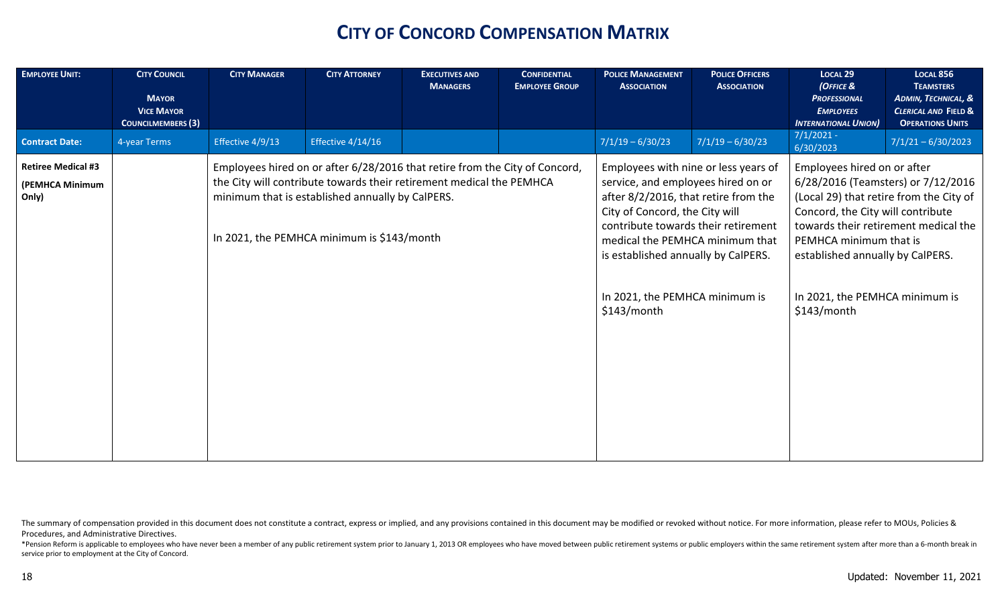| <b>EMPLOYEE UNIT:</b>                                 | <b>CITY COUNCIL</b><br><b>MAYOR</b><br><b>VICE MAYOR</b><br><b>COUNCILMEMBERS (3)</b> | <b>CITY MANAGER</b> | <b>CITY ATTORNEY</b>                                                                           | <b>EXECUTIVES AND</b><br><b>MANAGERS</b>                                                                                                            | <b>CONFIDENTIAL</b><br><b>EMPLOYEE GROUP</b> | <b>POLICE MANAGEMENT</b><br><b>ASSOCIATION</b>                                                                                                                                                                                                                                                                         | <b>POLICE OFFICERS</b><br><b>ASSOCIATION</b> | <b>LOCAL 29</b><br>(OFFICE &<br><b>PROFESSIONAL</b><br><b>EMPLOYEES</b><br><b>INTERNATIONAL UNION)</b>                                                                                                                                                        | <b>LOCAL 856</b><br><b>TEAMSTERS</b><br>ADMIN, TECHNICAL, &<br><b>CLERICAL AND FIELD &amp;</b><br><b>OPERATIONS UNITS</b> |
|-------------------------------------------------------|---------------------------------------------------------------------------------------|---------------------|------------------------------------------------------------------------------------------------|-----------------------------------------------------------------------------------------------------------------------------------------------------|----------------------------------------------|------------------------------------------------------------------------------------------------------------------------------------------------------------------------------------------------------------------------------------------------------------------------------------------------------------------------|----------------------------------------------|---------------------------------------------------------------------------------------------------------------------------------------------------------------------------------------------------------------------------------------------------------------|---------------------------------------------------------------------------------------------------------------------------|
| <b>Contract Date:</b>                                 | 4-year Terms                                                                          | Effective 4/9/13    | Effective 4/14/16                                                                              |                                                                                                                                                     |                                              | $7/1/19 - 6/30/23$                                                                                                                                                                                                                                                                                                     | $7/1/19 - 6/30/23$                           | $7/1/2021 -$<br>6/30/2023                                                                                                                                                                                                                                     | $7/1/21 - 6/30/2023$                                                                                                      |
| <b>Retiree Medical #3</b><br>(PEMHCA Minimum<br>Only) |                                                                                       |                     | minimum that is established annually by CalPERS.<br>In 2021, the PEMHCA minimum is \$143/month | Employees hired on or after 6/28/2016 that retire from the City of Concord,<br>the City will contribute towards their retirement medical the PEMHCA |                                              | Employees with nine or less years of<br>service, and employees hired on or<br>after 8/2/2016, that retire from the<br>City of Concord, the City will<br>contribute towards their retirement<br>medical the PEMHCA minimum that<br>is established annually by CalPERS.<br>In 2021, the PEMHCA minimum is<br>\$143/month |                                              | Employees hired on or after<br>6/28/2016 (Teamsters) or 7/12/2016<br>Concord, the City will contribute<br>towards their retirement medical the<br>PEMHCA minimum that is<br>established annually by CalPERS.<br>In 2021, the PEMHCA minimum is<br>\$143/month | (Local 29) that retire from the City of                                                                                   |

The summary of compensation provided in this document does not constitute a contract, express or implied, and any provisions contained in this document may be modified or revoked without notice. For more information, pleas Procedures, and Administrative Directives.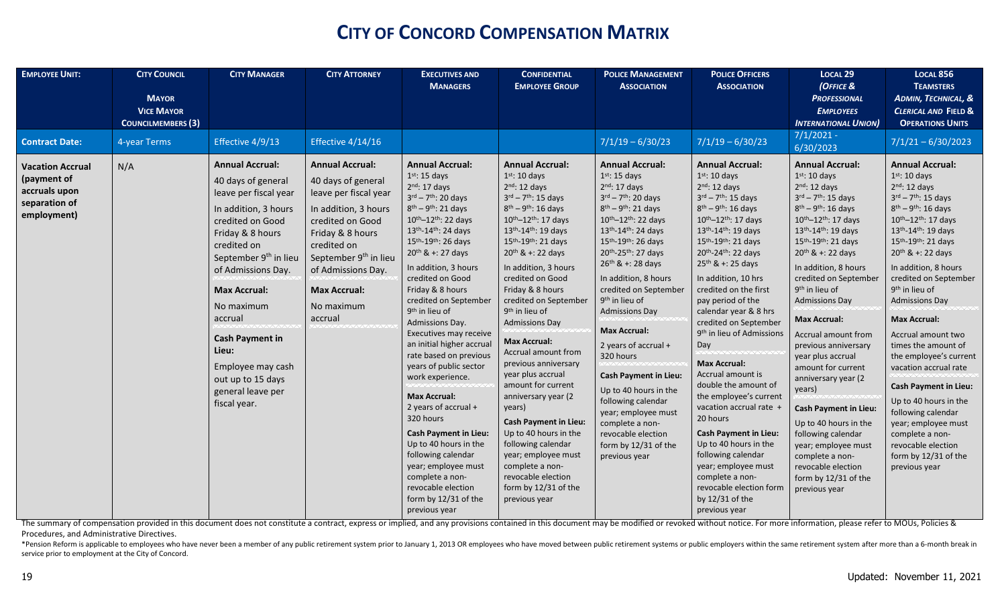| <b>EMPLOYEE UNIT:</b>                                                                   | <b>CITY COUNCIL</b><br><b>MAYOR</b><br><b>VICE MAYOR</b><br><b>COUNCILMEMBERS (3)</b> | <b>CITY MANAGER</b>                                                                                                                                                                                                                                                                                                                                                               | <b>CITY ATTORNEY</b>                                                                                                                                                                                                                                            | <b>EXECUTIVES AND</b><br><b>MANAGERS</b>                                                                                                                                                                                                                                                                                                                                                                                                                                                                                                                                                                                                                                                                                                                 | <b>CONFIDENTIAL</b><br><b>EMPLOYEE GROUP</b>                                                                                                                                                                                                                                                                                                                                                                                                                                                                                                                                                                                                                                                                                               | <b>POLICE MANAGEMENT</b><br><b>ASSOCIATION</b>                                                                                                                                                                                                                                                                                                                                                                                                                                                                                                                                                           | <b>POLICE OFFICERS</b><br><b>ASSOCIATION</b>                                                                                                                                                                                                                                                                                                                                                                                                                                                                                                                                                                                                                                                                                                                                          | <b>LOCAL 29</b><br>(OFFICE &<br><b>PROFESSIONAL</b><br><b>EMPLOYEES</b><br><b>INTERNATIONAL UNION)</b>                                                                                                                                                                                                                                                                                                                                                                                                                                                                                                                                                                                             | <b>LOCAL 856</b><br><b>TEAMSTERS</b><br>ADMIN, TECHNICAL, &<br><b>CLERICAL AND FIELD &amp;</b><br><b>OPERATIONS UNITS</b>                                                                                                                                                                                                                                                                                                                                                                                                                                                                                                                                               |
|-----------------------------------------------------------------------------------------|---------------------------------------------------------------------------------------|-----------------------------------------------------------------------------------------------------------------------------------------------------------------------------------------------------------------------------------------------------------------------------------------------------------------------------------------------------------------------------------|-----------------------------------------------------------------------------------------------------------------------------------------------------------------------------------------------------------------------------------------------------------------|----------------------------------------------------------------------------------------------------------------------------------------------------------------------------------------------------------------------------------------------------------------------------------------------------------------------------------------------------------------------------------------------------------------------------------------------------------------------------------------------------------------------------------------------------------------------------------------------------------------------------------------------------------------------------------------------------------------------------------------------------------|--------------------------------------------------------------------------------------------------------------------------------------------------------------------------------------------------------------------------------------------------------------------------------------------------------------------------------------------------------------------------------------------------------------------------------------------------------------------------------------------------------------------------------------------------------------------------------------------------------------------------------------------------------------------------------------------------------------------------------------------|----------------------------------------------------------------------------------------------------------------------------------------------------------------------------------------------------------------------------------------------------------------------------------------------------------------------------------------------------------------------------------------------------------------------------------------------------------------------------------------------------------------------------------------------------------------------------------------------------------|---------------------------------------------------------------------------------------------------------------------------------------------------------------------------------------------------------------------------------------------------------------------------------------------------------------------------------------------------------------------------------------------------------------------------------------------------------------------------------------------------------------------------------------------------------------------------------------------------------------------------------------------------------------------------------------------------------------------------------------------------------------------------------------|----------------------------------------------------------------------------------------------------------------------------------------------------------------------------------------------------------------------------------------------------------------------------------------------------------------------------------------------------------------------------------------------------------------------------------------------------------------------------------------------------------------------------------------------------------------------------------------------------------------------------------------------------------------------------------------------------|-------------------------------------------------------------------------------------------------------------------------------------------------------------------------------------------------------------------------------------------------------------------------------------------------------------------------------------------------------------------------------------------------------------------------------------------------------------------------------------------------------------------------------------------------------------------------------------------------------------------------------------------------------------------------|
| <b>Contract Date:</b>                                                                   | 4-year Terms                                                                          | Effective 4/9/13                                                                                                                                                                                                                                                                                                                                                                  | Effective 4/14/16                                                                                                                                                                                                                                               |                                                                                                                                                                                                                                                                                                                                                                                                                                                                                                                                                                                                                                                                                                                                                          |                                                                                                                                                                                                                                                                                                                                                                                                                                                                                                                                                                                                                                                                                                                                            | $7/1/19 - 6/30/23$                                                                                                                                                                                                                                                                                                                                                                                                                                                                                                                                                                                       | $7/1/19 - 6/30/23$                                                                                                                                                                                                                                                                                                                                                                                                                                                                                                                                                                                                                                                                                                                                                                    | $7/1/2021 -$<br>6/30/2023                                                                                                                                                                                                                                                                                                                                                                                                                                                                                                                                                                                                                                                                          | $7/1/21 - 6/30/2023$                                                                                                                                                                                                                                                                                                                                                                                                                                                                                                                                                                                                                                                    |
| <b>Vacation Accrual</b><br>(payment of<br>accruals upon<br>separation of<br>employment) | N/A                                                                                   | <b>Annual Accrual:</b><br>40 days of general<br>leave per fiscal year<br>In addition, 3 hours<br>credited on Good<br>Friday & 8 hours<br>credited on<br>September 9 <sup>th</sup> in lieu<br>of Admissions Day.<br><b>Max Accrual:</b><br>No maximum<br>accrual<br><b>Cash Payment in</b><br>Lieu:<br>Employee may cash<br>out up to 15 days<br>general leave per<br>fiscal year. | <b>Annual Accrual:</b><br>40 days of general<br>leave per fiscal year<br>In addition, 3 hours<br>credited on Good<br>Friday & 8 hours<br>credited on<br>September 9 <sup>th</sup> in lieu<br>of Admissions Day.<br><b>Max Accrual:</b><br>No maximum<br>accrual | <b>Annual Accrual:</b><br>$1st$ : 15 days<br>$2nd$ : 17 days<br>$3^{rd} - 7^{th}$ : 20 days<br>$8th - 9th$ : 21 days<br>$10^{th} - 12^{th}$ : 22 days<br>13th-14th: 24 days<br>15th-19th: 26 days<br>$20^{th}$ & +: 27 days<br>In addition, 3 hours<br>credited on Good<br>Friday & 8 hours<br>credited on September<br>9 <sup>th</sup> in lieu of<br>Admissions Day.<br>Executives may receive<br>an initial higher accrual<br>rate based on previous<br>years of public sector<br>work experience.<br><b>Max Accrual:</b><br>2 years of accrual +<br>320 hours<br><b>Cash Payment in Lieu:</b><br>Up to 40 hours in the<br>following calendar<br>year; employee must<br>complete a non-<br>revocable election<br>form by 12/31 of the<br>previous year | <b>Annual Accrual:</b><br>$1st$ : 10 days<br>$2nd$ : 12 days<br>$3^{rd} - 7^{th}$ : 15 days<br>$8^{th} - 9^{th}$ : 16 days<br>10th-12th: 17 days<br>13th-14th: 19 days<br>15 <sup>th</sup> -19 <sup>th</sup> : 21 days<br>$20^{th}$ & +: 22 days<br>In addition, 3 hours<br>credited on Good<br>Friday & 8 hours<br>credited on September<br>9 <sup>th</sup> in lieu of<br><b>Admissions Day</b><br><b>Max Accrual:</b><br>Accrual amount from<br>previous anniversary<br>year plus accrual<br>amount for current<br>anniversary year (2<br>years)<br><b>Cash Payment in Lieu:</b><br>Up to 40 hours in the<br>following calendar<br>year; employee must<br>complete a non-<br>revocable election<br>form by 12/31 of the<br>previous year | <b>Annual Accrual:</b><br>$1st$ : 15 days<br>$2nd$ : 17 days<br>$3^{rd} - 7^{th}$ : 20 days<br>$8th - 9th$ : 21 days<br>$10^{th} - 12^{th}$ : 22 days<br>13th-14th: 24 days<br>15th-19th: 26 days<br>20th-25th: 27 days<br>26th & +: 28 days<br>In addition, 8 hours<br>credited on September<br>9 <sup>th</sup> in lieu of<br><b>Admissions Day</b><br><b>Max Accrual:</b><br>2 years of accrual +<br>320 hours<br><b>Cash Payment in Lieu:</b><br>Up to 40 hours in the<br>following calendar<br>year; employee must<br>complete a non-<br>revocable election<br>form by 12/31 of the<br>previous year | <b>Annual Accrual:</b><br>$1st$ : 10 days<br>$2nd$ : 12 days<br>$3^{rd} - 7^{th}$ : 15 days<br>$8^{th} - 9^{th}$ : 16 days<br>$10^{th} - 12^{th}$ : 17 days<br>13th-14th: 19 days<br>15 <sup>th</sup> -19 <sup>th</sup> : 21 days<br>20th-24th: 22 days<br>$25^{th}$ & +: 25 days<br>In addition, 10 hrs<br>credited on the first<br>pay period of the<br>calendar year & 8 hrs<br>credited on September<br>9 <sup>th</sup> in lieu of Admissions<br>Day<br><b>Max Accrual:</b><br>Accrual amount is<br>double the amount of<br>the employee's current<br>vacation accrual rate +<br>20 hours<br><b>Cash Payment in Lieu:</b><br>Up to 40 hours in the<br>following calendar<br>year; employee must<br>complete a non-<br>revocable election form<br>by 12/31 of the<br>previous year | <b>Annual Accrual:</b><br>$1st$ : 10 days<br>$2nd$ : 12 days<br>$3^{rd} - 7^{th}$ : 15 days<br>$8^{th} - 9^{th}$ : 16 days<br>10th-12th: 17 days<br>13th-14th: 19 days<br>15 <sup>th</sup> -19 <sup>th</sup> : 21 days<br>$20^{th}$ & +: 22 days<br>In addition, 8 hours<br>credited on September<br>9 <sup>th</sup> in lieu of<br><b>Admissions Day</b><br><b>Max Accrual:</b><br>Accrual amount from<br>previous anniversary<br>year plus accrual<br>amount for current<br>anniversary year (2<br>years)<br><b>Cash Payment in Lieu:</b><br>Up to 40 hours in the<br>following calendar<br>year; employee must<br>complete a non-<br>revocable election<br>form by 12/31 of the<br>previous year | <b>Annual Accrual:</b><br>$1st$ : 10 days<br>$2nd$ : 12 days<br>$3^{rd} - 7^{th}$ : 15 days<br>$8^{th} - 9^{th}$ : 16 days<br>10 <sup>th</sup> -12 <sup>th</sup> : 17 days<br>13th-14th: 19 days<br>15th-19th: 21 days<br>$20^{th}$ & +: 22 days<br>In addition, 8 hours<br>credited on September<br>9 <sup>th</sup> in lieu of<br><b>Admissions Day</b><br><b>Max Accrual:</b><br>Accrual amount two<br>times the amount of<br>the employee's current<br>vacation accrual rate<br><b>Cash Payment in Lieu:</b><br>Up to 40 hours in the<br>following calendar<br>year; employee must<br>complete a non-<br>revocable election<br>form by 12/31 of the<br>previous year |

The summary of compensation provided in this document does not constitute a contract, express or implied, and any provisions contained in this document may be modified or revoked without notice. For more information, pleas Procedures, and Administrative Directives.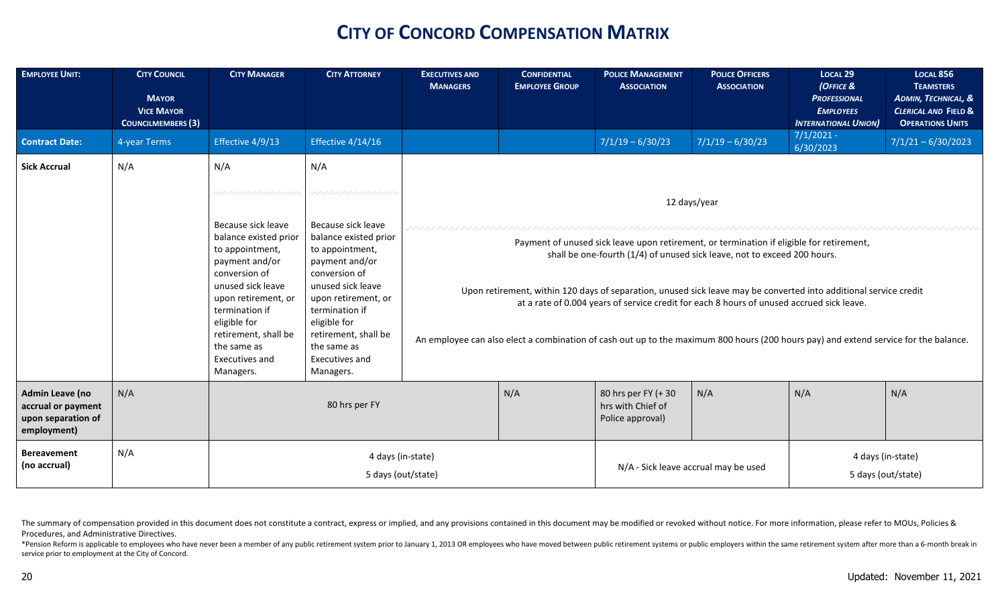| <b>EMPLOYEE UNIT:</b>                                                      | <b>CITY COUNCIL</b><br><b>MAYOR</b><br><b>VICE MAYOR</b><br><b>COUNCILMEMBERS (3)</b> | <b>CITY MANAGER</b>                                                                                                                                                                                                                                   | <b>CITY ATTORNEY</b>                                                                                                                                                                                                                                  | <b>EXECUTIVES AND</b><br><b>MANAGERS</b>                                                                                                                                                                                                                                                                                                                                                                                                                                                                                       | <b>CONFIDENTIAL</b><br><b>EMPLOYEE GROUP</b> | <b>POLICE MANAGEMENT</b><br><b>ASSOCIATION</b>              | <b>POLICE OFFICERS</b><br><b>ASSOCIATION</b> | <b>LOCAL 29</b><br>(OFFICE &<br><b>PROFESSIONAL</b><br><b>EMPLOYEES</b><br><b>INTERNATIONAL UNION)</b> | <b>LOCAL 856</b><br><b>TEAMSTERS</b><br><b>ADMIN, TECHNICAL, &amp;</b><br><b>CLERICAL AND FIELD &amp;</b><br><b>OPERATIONS UNITS</b> |
|----------------------------------------------------------------------------|---------------------------------------------------------------------------------------|-------------------------------------------------------------------------------------------------------------------------------------------------------------------------------------------------------------------------------------------------------|-------------------------------------------------------------------------------------------------------------------------------------------------------------------------------------------------------------------------------------------------------|--------------------------------------------------------------------------------------------------------------------------------------------------------------------------------------------------------------------------------------------------------------------------------------------------------------------------------------------------------------------------------------------------------------------------------------------------------------------------------------------------------------------------------|----------------------------------------------|-------------------------------------------------------------|----------------------------------------------|--------------------------------------------------------------------------------------------------------|--------------------------------------------------------------------------------------------------------------------------------------|
| <b>Contract Date:</b>                                                      | 4-year Terms                                                                          | Effective 4/9/13                                                                                                                                                                                                                                      | Effective 4/14/16                                                                                                                                                                                                                                     |                                                                                                                                                                                                                                                                                                                                                                                                                                                                                                                                |                                              | $7/1/19 - 6/30/23$                                          | $7/1/19 - 6/30/23$                           | $7/1/2021 -$<br>6/30/2023                                                                              | $7/1/21 - 6/30/2023$                                                                                                                 |
| <b>Sick Accrual</b>                                                        | N/A                                                                                   | N/A<br>wwwwwwww                                                                                                                                                                                                                                       | N/A<br>wwwwwwww                                                                                                                                                                                                                                       |                                                                                                                                                                                                                                                                                                                                                                                                                                                                                                                                |                                              | 12 days/year                                                |                                              |                                                                                                        |                                                                                                                                      |
|                                                                            |                                                                                       | Because sick leave<br>balance existed prior<br>to appointment,<br>payment and/or<br>conversion of<br>unused sick leave<br>upon retirement, or<br>termination if<br>eligible for<br>retirement, shall be<br>the same as<br>Executives and<br>Managers. | Because sick leave<br>balance existed prior<br>to appointment,<br>payment and/or<br>conversion of<br>unused sick leave<br>upon retirement, or<br>termination if<br>eligible for<br>retirement, shall be<br>the same as<br>Executives and<br>Managers. | Payment of unused sick leave upon retirement, or termination if eligible for retirement,<br>shall be one-fourth (1/4) of unused sick leave, not to exceed 200 hours.<br>Upon retirement, within 120 days of separation, unused sick leave may be converted into additional service credit<br>at a rate of 0.004 years of service credit for each 8 hours of unused accrued sick leave.<br>An employee can also elect a combination of cash out up to the maximum 800 hours (200 hours pay) and extend service for the balance. |                                              |                                                             |                                              |                                                                                                        |                                                                                                                                      |
| Admin Leave (no<br>accrual or payment<br>upon separation of<br>employment) | N/A                                                                                   |                                                                                                                                                                                                                                                       | 80 hrs per FY                                                                                                                                                                                                                                         |                                                                                                                                                                                                                                                                                                                                                                                                                                                                                                                                |                                              | 80 hrs per FY (+30<br>hrs with Chief of<br>Police approval) | N/A                                          | N/A                                                                                                    | N/A                                                                                                                                  |
| <b>Bereavement</b><br>(no accrual)                                         | N/A                                                                                   |                                                                                                                                                                                                                                                       | 4 days (in-state)<br>5 days (out/state)                                                                                                                                                                                                               |                                                                                                                                                                                                                                                                                                                                                                                                                                                                                                                                |                                              | N/A - Sick leave accrual may be used                        |                                              | 4 days (in-state)<br>5 days (out/state)                                                                |                                                                                                                                      |

The summary of compensation provided in this document does not constitute a contract, express or implied, and any provisions contained in this document may be modified or revoked without notice. For more information, pleas Procedures, and Administrative Directives.